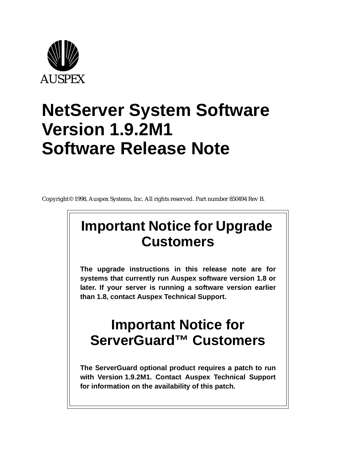

# **NetServer System Software Version 1.9.2M1 Software Release Note**

Copyright© 1998, Auspex Systems, Inc. All rights reserved. Part number 850494 Rev B.

# **Important Notice for Upgrade Customers**

**The upgrade instructions in this release note are for systems that currently run Auspex software version 1.8 or later. If your server is running a software version earlier than 1.8, contact Auspex Technical Support.**

# **Important Notice for ServerGuard™ Customers**

**The ServerGuard optional product requires a patch to run with Version 1.9.2M1. Contact Auspex Technical Support for information on the availability of this patch.**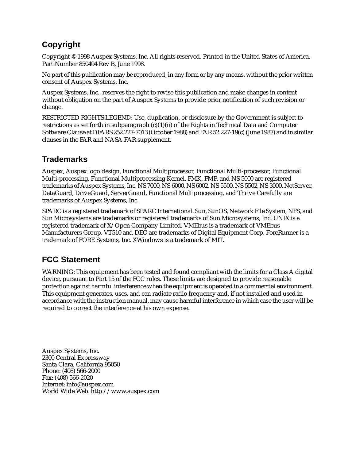# **Copyright**

Copyright © 1998 Auspex Systems, Inc. All rights reserved. Printed in the United States of America. Part Number 850494 Rev B, June 1998.

No part of this publication may be reproduced, in any form or by any means, without the prior written consent of Auspex Systems, Inc.

Auspex Systems, Inc., reserves the right to revise this publication and make changes in content without obligation on the part of Auspex Systems to provide prior notification of such revision or change.

RESTRICTED RIGHTS LEGEND: Use, duplication, or disclosure by the Government is subject to restrictions as set forth in subparagraph  $(c)(1)(ii)$  of the Rights in Technical Data and Computer Software Clause at DFARS 252.227-7013 (October 1988) and FAR 52.227-19(c) (June 1987) and in similar clauses in the FAR and NASA FAR supplement.

### **Trademarks**

Auspex, Auspex logo design, Functional Multiprocessor, Functional Multi-processor, Functional Multi-processing, Functional Multiprocessing Kernel, FMK, FMP, and NS 5000 are registered trademarks of Auspex Systems, Inc. NS 7000, NS 6000, NS 6002, NS 5500, NS 5502, NS 3000, NetServer, DataGuard, DriveGuard, ServerGuard, Functional Multiprocessing, and Thrive Carefully are trademarks of Auspex Systems, Inc.

SPARC is a registered trademark of SPARC International. Sun, SunOS, Network File System, NFS, and Sun Microsystems are trademarks or registered trademarks of Sun Microsystems, Inc. UNIX is a registered trademark of X/Open Company Limited. VMEbus is a trademark of VMEbus Manufacturers Group. VT510 and DEC are trademarks of Digital Equipment Corp. ForeRunner is a trademark of FORE Systems, Inc. XWindows is a trademark of MIT.

## **FCC Statement**

WARNING: This equipment has been tested and found compliant with the limits for a Class A digital device, pursuant to Part 15 of the FCC rules. These limits are designed to provide reasonable protection against harmful interference when the equipment is operated in a commercial environment. This equipment generates, uses, and can radiate radio frequency and, if not installed and used in accordance with the instruction manual, may cause harmful interference in which case the user will be required to correct the interference at his own expense.

Auspex Systems, Inc. 2300 Central Expressway Santa Clara, California 95050 Phone: (408) 566-2000 Fax: (408) 566-2020 Internet: info@auspex.com World Wide Web: http://www.auspex.com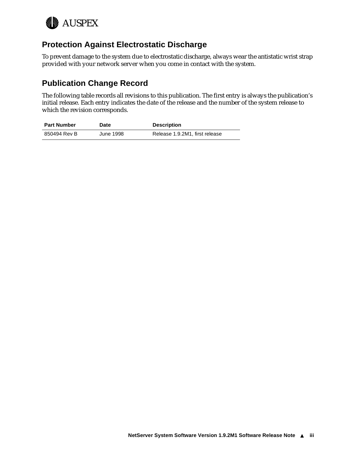

#### **Protection Against Electrostatic Discharge**

To prevent damage to the system due to electrostatic discharge, always wear the antistatic wrist strap provided with your network server when you come in contact with the system.

### **Publication Change Record**

The following table records all revisions to this publication. The first entry is always the publication's initial release. Each entry indicates the date of the release and the number of the system release to which the revision corresponds.

| <b>Part Number</b> | <b>Date</b> | <b>Description</b>             |
|--------------------|-------------|--------------------------------|
| 850494 Rev B       | June 1998   | Release 1.9.2M1, first release |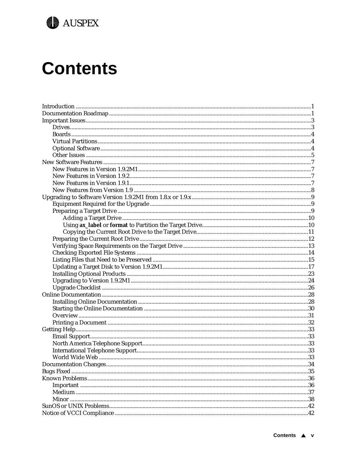

# **Contents**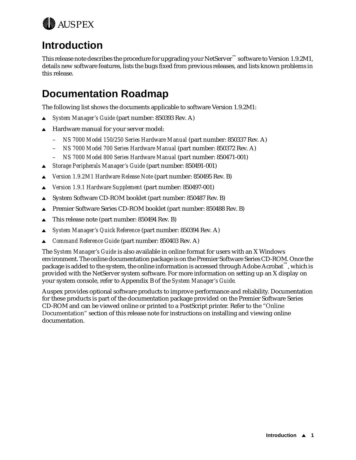<span id="page-6-0"></span>

# **Introduction**

This release note describes the procedure for upgrading your NetServer™ software to Version 1.9.2M1, details new software features, lists the bugs fixed from previous releases, and lists known problems in this release.

# **Documentation Roadmap**

The following list shows the documents applicable to software Version 1.9.2M1:

- <sup>s</sup> *System Manager's Guide* (part number: 850393 Rev. A)
- Hardware manual for your server model:
	- *NS 7000 Model 150/250 Series Hardware Manual* (part number: 850337 Rev. A)
	- *NS 7000 Model 700 Series Hardware Manual* (part number: 850372 Rev. A)
	- *NS 7000 Model 800 Series Hardware Manual* (part number: 850471-001)
- <sup>s</sup> *Storage Peripherals Manager's Guide* (part number: 850491-001)
- <sup>s</sup> *Version 1.9.2M1 Hardware Release Note* (part number: 850495 Rev. B)
- <sup>s</sup> *Version 1.9.1 Hardware Supplement* (part number: 850497-001)
- System Software CD-ROM booklet (part number: 850487 Rev. B)
- **■** Premier Software Series CD-ROM booklet (part number: 850488 Rev. B)
- $\triangle$  This release note (part number: 850494 Rev. B)
- <sup>s</sup> *System Manager's Quick Reference* (part number: 850394 Rev. A)
- <sup>s</sup> *Command Reference Guide* (part number: 850403 Rev. A)

The *System Manager's Guide* is also available in online format for users with an X Windows environment. The online documentation package is on the Premier Software Series CD-ROM. Once the package is added to the system, the online information is accessed through Adobe Acrobat™, which is provided with the NetServer system software. For more information on setting up an X display on your system console, refer to Appendix B of the *System Manager's Guide*.

Auspex provides optional software products to improve performance and reliability. Documentation for these products is part of the documentation package provided on the Premier Software Series CD-ROM and can be viewed online or printed to a PostScript printer. Re[fer to the "Online](#page-33-0)  [Documentation](#page-33-0)" section of this release note for instructions on installing and viewing online documentation.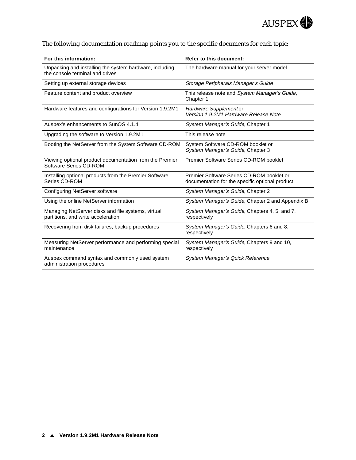

#### The following documentation roadmap points you to the specific documents for each topic:

| For this information:                                                                      | <b>Refer to this document:</b>                                                               |
|--------------------------------------------------------------------------------------------|----------------------------------------------------------------------------------------------|
| Unpacking and installing the system hardware, including<br>the console terminal and drives | The hardware manual for your server model                                                    |
| Setting up external storage devices                                                        | Storage Peripherals Manager's Guide                                                          |
| Feature content and product overview                                                       | This release note and System Manager's Guide,<br>Chapter 1                                   |
| Hardware features and configurations for Version 1.9.2M1                                   | Hardware Supplement or<br>Version 1.9.2M1 Hardware Release Note                              |
| Auspex's enhancements to SunOS 4.1.4                                                       | System Manager's Guide, Chapter 1                                                            |
| Upgrading the software to Version 1.9.2M1                                                  | This release note                                                                            |
| Booting the NetServer from the System Software CD-ROM                                      | System Software CD-ROM booklet or<br>System Manager's Guide, Chapter 3                       |
| Viewing optional product documentation from the Premier<br>Software Series CD-ROM          | Premier Software Series CD-ROM booklet                                                       |
| Installing optional products from the Premier Software<br>Series CD-ROM                    | Premier Software Series CD-ROM booklet or<br>documentation for the specific optional product |
| Configuring NetServer software                                                             | System Manager's Guide, Chapter 2                                                            |
| Using the online NetServer information                                                     | System Manager's Guide, Chapter 2 and Appendix B                                             |
| Managing NetServer disks and file systems, virtual<br>partitions, and write acceleration   | System Manager's Guide, Chapters 4, 5, and 7,<br>respectively                                |
| Recovering from disk failures; backup procedures                                           | System Manager's Guide, Chapters 6 and 8,<br>respectively                                    |
| Measuring NetServer performance and performing special<br>maintenance                      | System Manager's Guide, Chapters 9 and 10,<br>respectively                                   |
| Auspex command syntax and commonly used system<br>administration procedures                | System Manager's Quick Reference                                                             |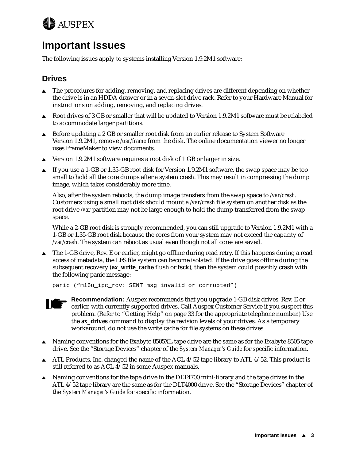<span id="page-8-0"></span>

# **Important Issues**

The following issues apply to systems installing Version 1.9.2M1 software:

#### **Drives**

- The procedures for adding, removing, and replacing drives are different depending on whether the drive is in an HDDA drawer or in a seven-slot drive rack. Refer to your Hardware Manual for instructions on adding, removing, and replacing drives.
- $\triangle$  Root drives of 3 GB or smaller that will be updated to Version 1.9.2M1 software must be relabeled to accommodate larger partitions.
- $\triangle$  Before updating a 2 GB or smaller root disk from an earlier release to System Software Version 1.9.2M1, remove */usr/frame* from the disk. The online documentation viewer no longer uses FrameMaker to view documents.
- $\blacktriangle$  Version 1.9.2M1 software requires a root disk of 1 GB or larger in size.
- $\blacktriangle$  If you use a 1-GB or 1.35-GB root disk for Version 1.9.2M1 software, the swap space may be too small to hold all the core dumps after a system crash. This may result in compressing the dump image, which takes considerably more time.

Also, after the system reboots, the dump image transfers from the swap space to */var/crash*. Customers using a small root disk should mount a */var/crash* file system on another disk as the root drive */var* partition may not be large enough to hold the dump transferred from the swap space.

While a 2-GB root disk is strongly recommended, you can still upgrade to Version 1.9.2M1 with a 1-GB or 1.35-GB root disk because the cores from your system may not exceed the capacity of */var/crash*. The system can reboot as usual even though not all cores are saved.

 $\triangle$  The 1-GB drive, Rev. E or earlier, might go offline during read retry. If this happens during a read access of metadata, the LFS file system can become isolated. If the drive goes offline during the subsequent recovery (**ax\_write\_cache** flush or **fsck**), then the system could possibly crash with the following panic message:

```
panic ("m16u_ipc_rcv: SENT msg invalid or corrupted")
```


**Recommendation:** Auspex recommends that you upgrade 1-GB disk drives, Rev. E or earlier, with currently supported drives. Call Auspex Customer Service if you suspect this problem. (Refer [to "Getting Help" on pag](#page-38-0)e 33 for the appropriate telephone number.) Use the **ax\_drives** command to display the revision levels of your drives. As a temporary workaround, do not use the write cache for file systems on these drives.

- $\blacktriangle$  Naming conventions for the Exabyte 8505XL tape drive are the same as for the Exabyte 8505 tape drive. See the "Storage Devices" chapter of the *System Manager's Guide* for specific information.
- $\blacktriangle$  ATL Products, Inc. changed the name of the ACL 4/52 tape library to ATL 4/52. This product is still referred to as ACL 4/52 in some Auspex manuals.
- $\triangle$  Naming conventions for the tape drive in the DLT4700 mini-library and the tape drives in the ATL 4/52 tape library are the same as for the DLT4000 drive. See the "Storage Devices" chapter of the *System Manager's Guide* for specific information.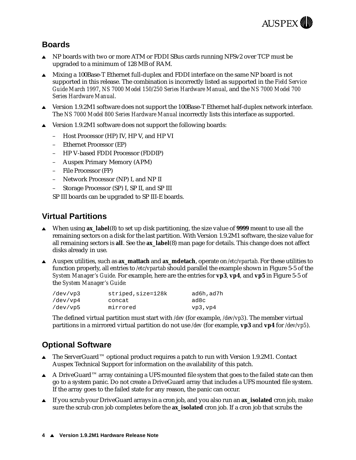

### <span id="page-9-0"></span>**Boards**

- $\triangle$  NP boards with two or more ATM or FDDI SBus cards running NFSv2 over TCP must be upgraded to a minimum of 128 MB of RAM.
- $\triangle$  Mixing a 100Base-T Ethernet full-duplex and FDDI interface on the same NP board is not supported in this release. The combination is incorrectly listed as supported in the *Field Service Guide March 1997*, *NS 7000 Model 150/250 Series Hardware Manual*, and the *NS 7000 Model 700 Series Hardware Manual*.
- **Solution** 1.9.2M1 software does not support the 100Base-T Ethernet half-duplex network interface. The *NS 7000 Model 800 Series Hardware Manual* incorrectly lists this interface as supported.
- $\triangle$  Version 1.9.2M1 software does not support the following boards:
	- Host Processor (HP) IV, HP V, and HP VI
	- Ethernet Processor (EP)
	- HP V-based FDDI Processor (FDDIP)
	- Auspex Primary Memory (APM)
	- File Processor (FP)
	- Network Processor (NP) I, and NP II
	- Storage Processor (SP) I, SP II, and SP III

SP III boards can be upgraded to SP III-E boards.

### **Virtual Partitions**

- <sup>s</sup> When using **ax\_label**(8) to set up disk partitioning, the size value of **9999** meant to use all the remaining sectors on a disk for the last partition. With Version 1.9.2M1 software, the size value for all remaining sectors is **all**. See the **ax\_label**(8) man page for details. This change does not affect disks already in use.
- Auspex utilities, such as **ax\_mattach** and **ax\_mdetach**, operate on /etc/vpartab. For these utilities to function properly, all entries to */etc/vpartab* should parallel the example shown in Figure 5-5 of the *System Manager's Guide.* For example, here are the entries for **vp3**, **vp4**, and **vp5** in Figure 5-5 of the *System Manager's Guide:*

| /dev/vp3 | striped, size=128k | ad6h,ad7h |
|----------|--------------------|-----------|
| /dev/vp4 | concat             | ad8c      |
| /dev/vp5 | mirrored           | vp3, vp4  |

The defined virtual partition must start with */dev* (for example, */dev/vp3*). The member virtual partitions in a mirrored virtual partition do not use */dev* (for example, **vp3** and **vp4** for */dev/vp5*).

### **Optional Software**

- **■** The ServerGuard™ optional product requires a patch to run with Version 1.9.2M1. Contact Auspex Technical Support for information on the availability of this patch.
- A DriveGuard<sup>™</sup> array containing a UFS mounted file system that goes to the failed state can then go to a system panic. Do not create a DriveGuard array that includes a UFS mounted file system. If the array goes to the failed state for any reason, the panic can occur.
- If you scrub your DriveGuard arrays in a cron job, and you also run an **ax\_isolated** cron job, make sure the scrub cron job completes before the **ax\_isolated** cron job. If a cron job that scrubs the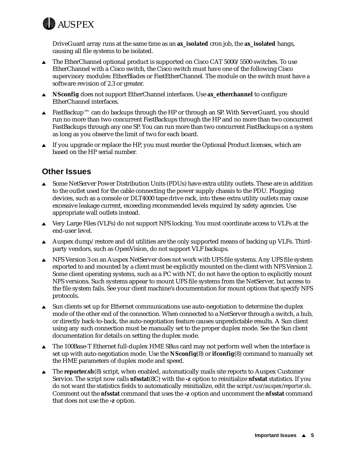<span id="page-10-0"></span>

DriveGuard array runs at the same time as an **ax\_isolated** cron job, the **ax\_isolated** hangs, causing all file systems to be isolated.

- $\triangle$  The EtherChannel optional product is supported on Cisco CAT 5000/5500 switches. To use EtherChannel with a Cisco switch, the Cisco switch must have one of the following Cisco supervisory modules: EtherBlades or FastEtherChannel. The module on the switch must have a software revision of 2.3 or greater.
- **A** NSconfig does not support EtherChannel interfaces. Use **ax\_etherchannel** to configure EtherChannel interfaces.
- FastBackup™ can do backups through the HP or through an SP. With ServerGuard, you should run no more than two concurrent FastBackups through the HP and no more than two concurrent FastBackups through any one SP. You can run more than two concurrent FastBackups on a system as long as you observe the limit of two for each board.
- If you upgrade or replace the HP, you must reorder the Optional Product licenses, which are based on the HP serial number.

#### **Other Issues**

- $\triangle$  Some NetServer Power Distribution Units (PDUs) have extra utility outlets. These are in addition to the outlet used for the cable connecting the power supply chassis to the PDU. Plugging devices, such as a console or DLT4000 tape drive rack, into these extra utility outlets may cause excessive leakage current, exceeding recommended levels required by safety agencies. Use appropriate wall outlets instead.
- $\blacktriangle$  Very Large Files (VLFs) do not support NFS locking. You must coordinate access to VLFs at the end-user level.
- Auspex dump/restore and dd utilities are the only supported means of backing up VLFs. Thirdparty vendors, such as OpenVision, do not support VLF backups.
- **SET NFS Version 3 on an Auspex NetServer does not work with UFS file systems. Any UFS file system** exported to and mounted by a client must be explicitly mounted on the client with NFS Version 2. Some client operating systems, such as a PC with NT, do not have the option to explicitly mount NFS versions. Such systems appear to mount UFS file systems from the NetServer, but access to the file system fails. See your client machine's documentation for mount options that specify NFS protocols.
- $\triangle$  Sun clients set up for Ethernet communications use auto-negotiation to determine the duplex mode of the other end of the connection. When connected to a NetServer through a switch, a hub, or directly back-to-back, the auto-negotiation feature causes unpredictable results. A Sun client using any such connection must be manually set to the proper duplex mode. See the Sun client documentation for details on setting the duplex mode.
- $\triangle$  The 100Base-T Ethernet full-duplex HME SBus card may not perform well when the interface is set up with auto-negotiation mode. Use the **NSconfig**(8) or **ifconfig**(8) command to manually set the HME parameters of duplex mode and speed.
- **■** The **reporter.sh**(8) script, when enabled, automatically mails site reports to Auspex Customer Service. The script now calls **nfsstat**(8C) with the **-z** option to reinitialize **nfsstat** statistics. If you do not want the statistics fields to automatically reinitialize, edit the script */usr/auspex/reporter.sh*. Comment out the **nfsstat** command that uses the **-z** option and uncomment the **nfsstat** command that does not use the **-z** option.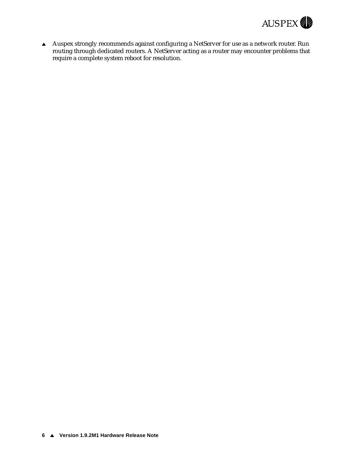

A Auspex strongly recommends against configuring a NetServer for use as a network router. Run routing through dedicated routers. A NetServer acting as a router may encounter problems that require a complete system reboot for resolution.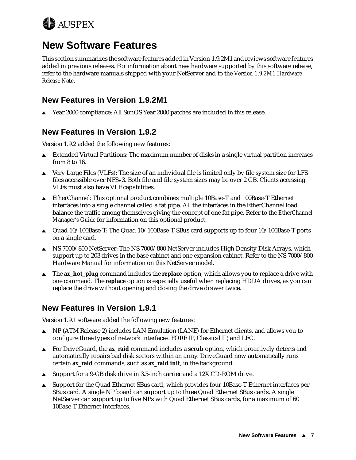<span id="page-12-0"></span>

# **New Software Features**

This section summarizes the software features added in Version 1.9.2M1 and reviews software features added in previous releases. For information about new hardware supported by this software release, refer to the hardware manuals shipped with your NetServer and to the *Version 1.9.2M1 Hardware Release Note*.

#### **New Features in Version 1.9.2M1**

▲ Year 2000 compliance: All SunOS Year 2000 patches are included in this release.

### **New Features in Version 1.9.2**

Version 1.9.2 added the following new features:

- $\blacktriangle$  Extended Virtual Partitions: The maximum number of disks in a single virtual partition increases from 8 to 16.
- $\blacktriangle$  Very Large Files (VLFs): The size of an individual file is limited only by file system size for LFS files accessible over NFSv3. Both file and file system sizes may be over 2 GB. Clients accessing VLFs must also have VLF capabilities.
- <sup>s</sup> EtherChannel: This optional product combines multiple 10Base-T and 100Base-T Ethernet interfaces into a single channel called a fat pipe. All the interfaces in the EtherChannel load balance the traffic among themselves giving the concept of one fat pipe. Refer to the *EtherChannel Manager's Guide* for information on this optional product.
- Quad  $10/100$ Base-T: The Quad  $10/100$ Base-T SBus card supports up to four  $10/100$ Base-T ports on a single card.
- **Solution NS 7000/800 NetServer: The NS 7000/800 NetServer includes High Density Disk Arrays, which NS** support up to 203 drives in the base cabinet and one expansion cabinet. Refer to the NS 7000/800 Hardware Manual for information on this NetServer model.
- **■** The **ax\_hot\_plug** command includes the **replace** option, which allows you to replace a drive with one command. The **replace** option is especially useful when replacing HDDA drives, as you can replace the drive without opening and closing the drive drawer twice.

### **New Features in Version 1.9.1**

Version 1.9.1 software added the following new features:

- <sup>s</sup> NP (ATM Release 2) includes LAN Emulation (LANE) for Ethernet clients, and allows you to configure three types of network interfaces: FORE IP, Classical IP, and LEC.
- For DriveGuard, the **ax\_raid** command includes a **scrub** option, which proactively detects and automatically repairs bad disk sectors within an array. DriveGuard now automatically runs certain **ax\_raid** commands, such as **ax\_raid init**, in the background.
- $\triangle$  Support for a 9-GB disk drive in 3.5-inch carrier and a 12X CD-ROM drive.
- $\triangle$  Support for the Quad Ethernet SBus card, which provides four 10Base-T Ethernet interfaces per SBus card. A single NP board can support up to three Quad Ethernet SBus cards. A single NetServer can support up to five NPs with Quad Ethernet SBus cards, for a maximum of 60 10Base-T Ethernet interfaces.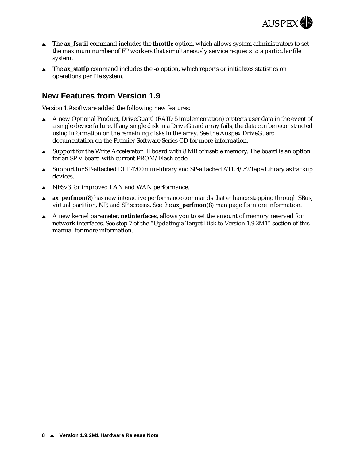

- <span id="page-13-0"></span>■ The **ax\_fsutil** command includes the **throttle** option, which allows system administrators to set the maximum number of FP workers that simultaneously service requests to a particular file system.
- <sup>s</sup> The **ax\_statfp** command includes the **-o** option, which reports or initializes statistics on operations per file system.

#### **New Features from Version 1.9**

Version 1.9 software added the following new features:

- A new Optional Product, DriveGuard (RAID 5 implementation) protects user data in the event of a single device failure. If any single disk in a DriveGuard array fails, the data can be reconstructed using information on the remaining disks in the array. See the Auspex DriveGuard documentation on the Premier Software Series CD for more information.
- Support for the Write Accelerator III board with 8 MB of usable memory. The board is an option for an SP V board with current PROM/Flash code.
- $\triangle$  Support for SP-attached DLT 4700 mini-library and SP-attached ATL 4/52 Tape Library as backup devices.
- $\triangle$  NFSv3 for improved LAN and WAN performance.
- **ax\_perfmon**(8) has new interactive performance commands that enhance stepping through SBus, virtual partition, NP, and SP screens. See the **ax\_perfmon**(8) man page for more information.
- <sup>s</sup> A new kernel parameter, **netinterfaces**, allows you to set the amount of memory reserved for network interfaces. See s[te](#page-26-0)p 7 of [the "Updating a Target Disk to Version 1](#page-22-0).9.2M1" section of this manual for more information.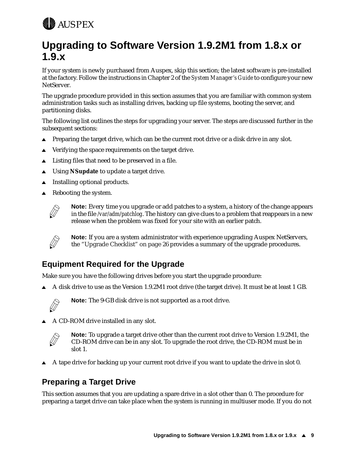<span id="page-14-0"></span>

# **Upgrading to Software Version 1.9.2M1 from 1.8.x or 1.9.x**

If your system is newly purchased from Auspex, skip this section; the latest software is pre-installed at the factory. Follow the instructions in Chapter 2 of the *System Manager's Guide* to configure your new NetServer.

The upgrade procedure provided in this section assumes that you are familiar with common system administration tasks such as installing drives, backing up file systems, booting the server, and partitioning disks.

The following list outlines the steps for upgrading your server. The steps are discussed further in the subsequent sections:

- Preparing the target drive, which can be the current root drive or a disk drive in any slot.
- $\triangle$  Verifying the space requirements on the target drive.
- $\triangle$  Listing files that need to be preserved in a file.
- **A** Using **NSupdate** to update a target drive.
- $\blacktriangle$  Installing optional products.
- Rebooting the system.



**Note:** Every time you upgrade or add patches to a system, a history of the change appears in the file */var/adm/patchlog*. The history can give clues to a problem that reappears in a new release when the problem was fixed for your site with an earlier patch.



**Note:** If you are a system administrator with experience upgrading Auspex NetServers, the ["Upgrade Checklist" on pag](#page-31-0)e 26 provides a summary of the upgrade procedures.

### **Equipment Required for the Upgrade**

Make sure you have the following drives before you start the upgrade procedure:

A disk drive to use as the Version 1.9.2M1 root drive (the target drive). It must be at least 1 GB.



**Note:** The 9-GB disk drive is not supported as a root drive.

 $\triangle$  A CD-ROM drive installed in any slot.



**Note:** To upgrade a target drive other than the current root drive to Version 1.9.2M1, the CD-ROM drive can be in any slot. To upgrade the root drive, the CD-ROM must be in slot 1.

A tape drive for backing up your current root drive if you want to update the drive in slot 0.

### **Preparing a Target Drive**

This section assumes that you are updating a spare drive in a slot other than 0. The procedure for preparing a target drive can take place when the system is running in multiuser mode. If you do not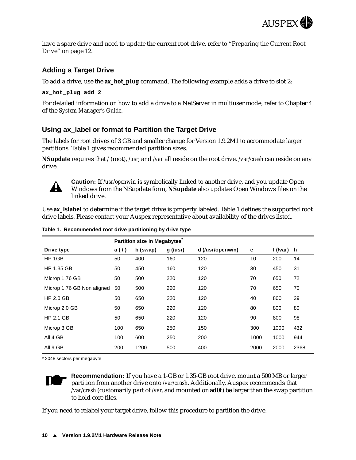

<span id="page-15-0"></span>have a spare drive and need to update the current root driv[e, refer to "Preparing the Current Root](#page-17-0)  [Drive" on page 1](#page-17-0)2.

#### **Adding a Target Drive**

To add a drive, use the **ax\_hot\_plug** command. The following example adds a drive to slot 2:

**ax\_hot\_plug add 2**

For detailed information on how to add a drive to a NetServer in multiuser mode, refer to Chapter 4 of the *System Manager's Guide*.

#### **Using ax\_label or format to Partition the Target Drive**

The labels for root drives of 3 GB and smaller change for Version 1.9.2M1 to accommodate larger partitions. Table 1 gives recommended partition sizes.

**NSupdate** requires that */* (root), */usr*, and */var* all reside on the root drive. */var/crash* can reside on any drive.



**Caution:** If */usr/openwin* is symbolically linked to another drive, and you update Open Windows from the NSupdate form, **NSupdate** also updates Open Windows files on the linked drive.

Use **ax\_lslabel** to determine if the target drive is properly labeled. Table 1 defines the supported root drive labels. Please contact your Auspex representative about availability of the drives listed.

|                            |      | Partition size in Megabytes |            |                  |      |          |      |
|----------------------------|------|-----------------------------|------------|------------------|------|----------|------|
| Drive type                 | a(1) | b (swap)                    | $g$ (/usr) | d (/usr/openwin) | е    | f (/var) | h.   |
| HP 1GB                     | 50   | 400                         | 160        | 120              | 10   | 200      | 14   |
| HP 1.35 GB                 | 50   | 450                         | 160        | 120              | 30   | 450      | 31   |
| Microp 1.76 GB             | 50   | 500                         | 220        | 120              | 70   | 650      | 72   |
| Microp 1.76 GB Non aligned | 50   | 500                         | 220        | 120              | 70   | 650      | 70   |
| HP 2.0 GB                  | 50   | 650                         | 220        | 120              | 40   | 800      | 29   |
| Microp 2.0 GB              | 50   | 650                         | 220        | 120              | 80   | 800      | 80   |
| $HP$ 2.1 GB                | 50   | 650                         | 220        | 120              | 90   | 800      | 98   |
| Microp 3 GB                | 100  | 650                         | 250        | 150              | 300  | 1000     | 432  |
| All 4 GB                   | 100  | 600                         | 250        | 200              | 1000 | 1000     | 944  |
| All 9 GB                   | 200  | 1200                        | 500        | 400              | 2000 | 2000     | 2368 |

**Table 1. Recommended root drive partitioning by drive type**

\* 2048 sectors per megabyte



**Recommendation:** If you have a 1-GB or 1.35-GB root drive, mount a 500 MB or larger partition from another drive onto */var/crash*. Additionally, Auspex recommends that */var/crash* (customarily part of */var*, and mounted on **ad0f**) be larger than the swap partition to hold core files.

If you need to relabel your target drive, follow this procedure to partition the drive.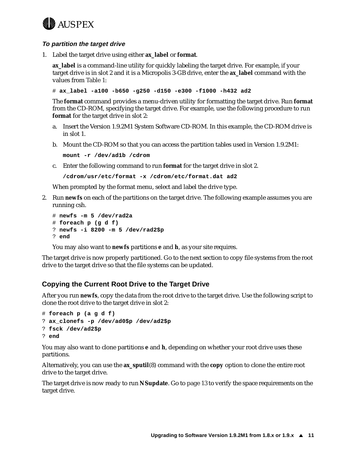# <span id="page-16-0"></span>**AUSPEX**

#### **To partition the target drive**

1. Label the target drive using either **ax\_label** or **format**.

**ax\_label** is a command-line utility for quickly labeling the target drive. For example, if your target drive is in slot 2 and it is a Micropolis 3-GB drive, enter the **ax\_label** command with the values fro[m Table](#page-15-0) 1:

# **ax\_label -a100 -b650 -g250 -d150 -e300 -f1000 -h432 ad2**

The **format** command provides a menu-driven utility for formatting the target drive. Run **format** from the CD-ROM, specifying the target drive. For example, use the following procedure to run **format** for the target drive in slot 2:

- a. Insert the Version 1.9.2M1 System Software CD-ROM. In this example, the CD-ROM drive is in slot 1.
- b. Mount the CD-ROM so that you can access the partition tables used in Version 1.9.2M1:

**mount -r /dev/ad1b /cdrom**

c. Enter the following command to run **format** for the target drive in slot 2.

**/cdrom/usr/etc/format -x /cdrom/etc/format.dat ad2**

When prompted by the format menu, select and label the drive type.

2. Run **newfs** on each of the partitions on the target drive. The following example assumes you are running csh.

```
# newfs -m 5 /dev/rad2a
# foreach p (g d f)
? newfs -i 8200 -m 5 /dev/rad2$p
? end
```
You may also want to **newfs** partitions **e** and **h**, as your site requires.

The target drive is now properly partitioned. Go to the next section to copy file systems from the root drive to the target drive so that the file systems can be updated.

#### **Copying the Current Root Drive to the Target Drive**

After you run **newfs**, copy the data from the root drive to the target drive. Use the following script to clone the root drive to the target drive in slot 2:

```
# foreach p (a g d f)
? ax_clonefs -p /dev/ad0$p /dev/ad2$p
? fsck /dev/ad2$p
? end
```
You may also want to clone partitions **e** and **h**, depending on whether your root drive uses these partitions.

Alternatively, you can use the **ax\_sputil**(8) command with the **copy** option to clone the entire root drive to the target drive.

The target drive is now ready to run **NSupdate**. [Go to p](#page-18-0)age 13 to verify the space requirements on the target drive.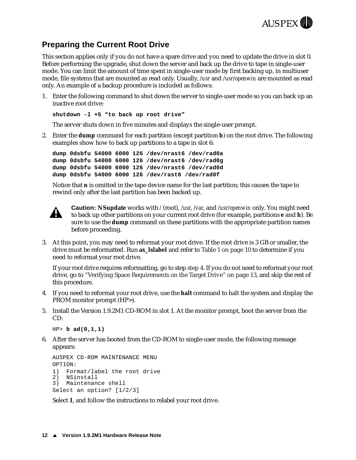

### <span id="page-17-0"></span>**Preparing the Current Root Drive**

This section applies only if you do not have a spare drive and you need to update the drive in slot 0. Before performing the upgrade, shut down the server and back up the drive to tape in single-user mode. You can limit the amount of time spent in single-user mode by first backing up, in multiuser mode, file systems that are mounted as read only. Usually, */usr* and */usr/openwin* are mounted as read only. An example of a backup procedure is included as follows:

1. Enter the following command to shut down the server to single-user mode so you can back up an inactive root drive:

**shutdown -l +5 "to back up root drive"**

The server shuts down in five minutes and displays the single-user prompt.

2. Enter the **dump** command for each partition (except partition **b**) on the root drive. The following examples show how to back up partitions to a tape in slot 6:

**dump 0dsbfu 54000 6000 126 /dev/nrast6 /dev/rad0a dump 0dsbfu 54000 6000 126 /dev/nrast6 /dev/rad0g dump 0dsbfu 54000 6000 126 /dev/nrast6 /dev/rad0d dump 0dsbfu 54000 6000 126 /dev/rast6 /dev/rad0f**

Notice that **n** is omitted in the tape device name for the last partition; this causes the tape to rewind only after the last partition has been backed up.



**Caution: NSupdate** works with */* (root), */usr*, */var*, and */usr/openwin* only. You might need to back up other partitions on your current root drive (for example, partitions **e** and **h**). Be sure to use the **dump** command on these partitions with the appropriate partition names before proceeding.

3. At this point, you may need to reformat your root drive. If the root drive is 3 GB or smaller, the drive must be reformatted. Run **ax\_lslabel** and r[efer to Table 1 on](#page-15-0) page 10 to determine if you need to reformat your root drive.

If your root drive requires reformatting, go to step step 4. If you do not need to reformat your root drive, go t[o "Verifying Space Requirements on the Target Drive" on](#page-18-0) page 13, and skip the rest of this procedure.

- 4. If you need to reformat your root drive, use the **halt** command to halt the system and display the PROM monitor prompt (HP>).
- 5. Install the Version 1.9.2M1 CD-ROM in slot 1. At the monitor prompt, boot the server from the  $CD<sup>+</sup>$

HP> **b ad(0,1,1)**

6. After the server has booted from the CD-ROM to single-user mode, the following message appears:

```
AUSPEX CD-ROM MAINTENANCE MENU
OPTION:
1) Format/label the root drive
2) NSinstall
3) Maintenance shell
Select an option? [1/2/3]
```
Select **1**, and follow the instructions to relabel your root drive.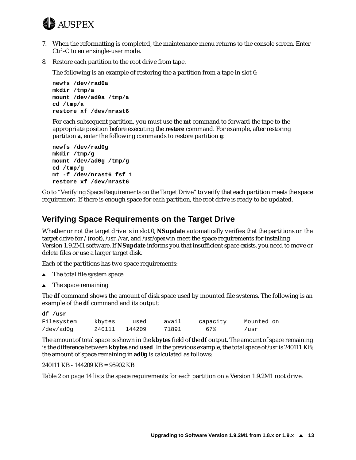<span id="page-18-0"></span>

- 7. When the reformatting is completed, the maintenance menu returns to the console screen. Enter Ctrl-C to enter single-user mode.
- 8. Restore each partition to the root drive from tape.

The following is an example of restoring the **a** partition from a tape in slot 6:

```
newfs /dev/rad0a
mkdir /tmp/a
mount /dev/ad0a /tmp/a
cd /tmp/a
restore xf /dev/nrast6
```
For each subsequent partition, you must use the **mt** command to forward the tape to the appropriate position before executing the **restore** command. For example, after restoring partition **a**, enter the following commands to restore partition **g**:

```
newfs /dev/rad0g
mkdir /tmp/g
mount /dev/ad0g /tmp/g
cd /tmp/g
mt -f /dev/nrast6 fsf 1
restore xf /dev/nrast6
```
Go to "Verifying Space Requirements on the Target Drive" to verify that each partition meets the space requirement. If there is enough space for each partition, the root drive is ready to be updated.

#### **Verifying Space Requirements on the Target Drive**

Whether or not the target drive is in slot 0, **NSupdate** automatically verifies that the partitions on the target drive for */* (root), */usr*, */var*, and */usr/openwin* meet the space requirements for installing Version 1.9.2M1 software. If **NSupdate** informs you that insufficient space exists, you need to move or delete files or use a larger target disk.

Each of the partitions has two space requirements:

- The total file system space
- $\triangle$  The space remaining

The **df** command shows the amount of disk space used by mounted file systems. The following is an example of the **df** command and its output:

| df /usr    |        |        |       |          |            |
|------------|--------|--------|-------|----------|------------|
| Filesystem | kbytes | used   | avail | capacity | Mounted on |
| /dev/ad0q  | 240111 | 144209 | 71891 | 67%      | /usr       |

The amount of total space is shown in the **kbytes** field of the **df** output. The amount of space remaining is the difference between **kbytes** and **used**. In the previous example, the total space of */usr* is 240111 KB; the amount of space remaining in **ad0g** is calculated as follows:

240111 KB - 144209 KB = 95902 KB

[Table 2 on page 1](#page-19-0)4 lists the space requirements for each partition on a Version 1.9.2M1 root drive.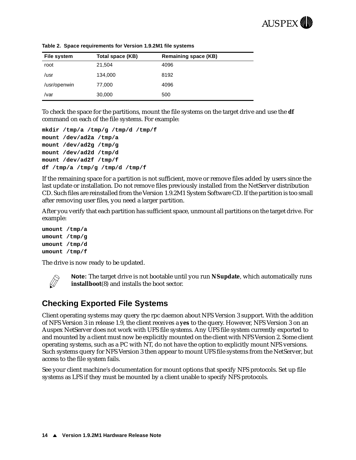

| File system  | Total space (KB) | <b>Remaining space (KB)</b> |
|--------------|------------------|-----------------------------|
| root         | 21,504           | 4096                        |
| /usr         | 134,000          | 8192                        |
| /usr/openwin | 77,000           | 4096                        |
| /var         | 30,000           | 500                         |

<span id="page-19-0"></span>**Table 2. Space requirements for Version 1.9.2M1 file systems**

To check the space for the partitions, mount the file systems on the target drive and use the **df** command on each of the file systems. For example:

```
mkdir /tmp/a /tmp/g /tmp/d /tmp/f
mount /dev/ad2a /tmp/a
mount /dev/ad2g /tmp/g
mount /dev/ad2d /tmp/d
mount /dev/ad2f /tmp/f
df /tmp/a /tmp/g /tmp/d /tmp/f
```
If the remaining space for a partition is not sufficient, move or remove files added by users since the last update or installation. Do not remove files previously installed from the NetServer distribution CD. Such files are reinstalled from the Version 1.9.2M1 System Software CD. If the partition is too small after removing user files, you need a larger partition.

After you verify that each partition has sufficient space, unmount all partitions on the target drive. For example:

**umount /tmp/a umount /tmp/g umount /tmp/d umount /tmp/f**

The drive is now ready to be updated.



**Note:** The target drive is not bootable until you run **NSupdate**, which automatically runs **installboot**(8) and installs the boot sector.

#### **Checking Exported File Systems**

Client operating systems may query the rpc daemon about NFS Version 3 support. With the addition of NFS Version 3 in release 1.9, the client receives a **yes** to the query. However, NFS Version 3 on an Auspex NetServer does not work with UFS file systems. Any UFS file system currently exported to and mounted by a client must now be explicitly mounted on the client with NFS Version 2. Some client operating systems, such as a PC with NT, do not have the option to explicitly mount NFS versions. Such systems query for NFS Version 3 then appear to mount UFS file systems from the NetServer, but access to the file system fails.

See your client machine's documentation for mount options that specify NFS protocols. Set up file systems as LFS if they must be mounted by a client unable to specify NFS protocols.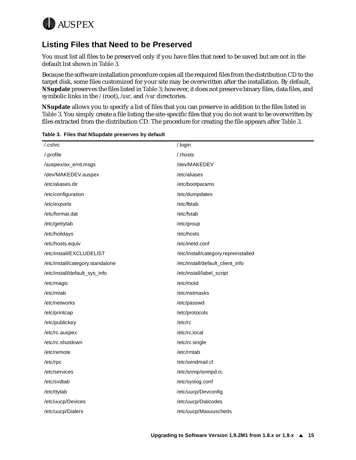<span id="page-20-0"></span>

### **Listing Files that Need to be Preserved**

You must list all files to be preserved only if you have files that need to be saved but are not in the default list shown in Table 3.

Because the software installation procedure copies all the required files from the distribution CD to the target disk, some files customized for your site may be overwritten after the installation. By default, **NSupdate** preserves the files listed in Table 3; however, it does not preserve binary files, data files, and symbolic links in the */* (root), */usr*, and */var* directories.

**NSupdate** allows you to specify a list of files that you can preserve in addition to the files listed in Table 3. You simply create a file listing the site-specific files that you do not want to be overwritten by files extracted from the distribution CD. The procedure for creating the file appears after Table 3.

| .cshrc                           | /.login                              |
|----------------------------------|--------------------------------------|
| /.profile                        | /.rhosts                             |
| /auspex/ax_errd.msgs             | /dev/MAKEDEV                         |
| /dev/MAKEDEV.auspex              | /etc/aliases                         |
| /etc/aliases.dir                 | /etc/bootparams                      |
| /etc/configuration               | /etc/dumpdates                       |
| /etc/exports                     | /etc/fbtab                           |
| /etc/format.dat                  | /etc/fstab                           |
| /etc/gettytab                    | /etc/group                           |
| /etc/holidays                    | /etc/hosts                           |
| /etc/hosts.equiv                 | /etc/inetd.conf                      |
| /etc/install/EXCLUDELIST         | /etc/install/category.repreinstalled |
| /etc/install/category.standalone | /etc/install/default_client_info     |
| /etc/install/default_sys_info    | /etc/install/label_script            |
| /etc/magic                       | /etc/motd                            |
| /etc/mtab                        | /etc/netmasks                        |
| /etc/networks                    | /etc/passwd                          |
| /etc/printcap                    | /etc/protocols                       |
| /etc/publickey                   | /etc/rc                              |
| /etc/rc.auspex                   | /etc/rc.local                        |
| /etc/rc.shutdown                 | /etc/rc.single                       |
| /etc/remote                      | /etc/rmtab                           |
| /etc/rpc                         | /etc/sendmail.cf                     |
| /etc/services                    | /etc/snmp/snmpd.rc                   |
| /etc/svdtab                      | /etc/syslog.conf                     |
| /etc/ttytab                      | /etc/uucp/Devconfig                  |
| /etc/uucp/Devices                | /etc/uucp/Dialcodes                  |
| /etc/uucp/Dialers                | /etc/uucp/Maxuuscheds                |

**Table 3. Files that NSupdate preserves by default**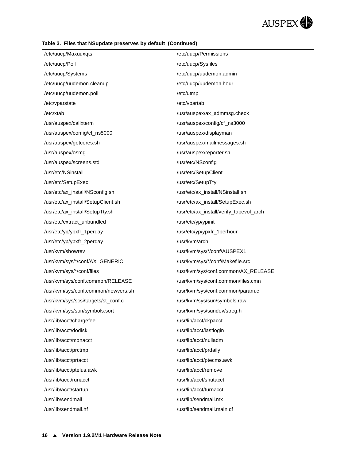#### **Table 3. Files that NSupdate preserves by default (Continued)**

| /etc/uucp/Maxuuxqts                 | /etc/uucp/Permissions                   |
|-------------------------------------|-----------------------------------------|
| /etc/uucp/Poll                      | /etc/uucp/Sysfiles                      |
| /etc/uucp/Systems                   | /etc/uucp/uudemon.admin                 |
| /etc/uucp/uudemon.cleanup           | /etc/uucp/uudemon.hour                  |
| /etc/uucp/uudemon.poll              | /etc/utmp                               |
| /etc/vparstate                      | /etc/vpartab                            |
| /etc/xtab                           | /usr/auspex/ax_admmsg.check             |
| /usr/auspex/callxterm               | /usr/auspex/config/cf_ns3000            |
| /usr/auspex/config/cf_ns5000        | /usr/auspex/displayman                  |
| /usr/auspex/getcores.sh             | /usr/auspex/mailmessages.sh             |
| /usr/auspex/osmg                    | /usr/auspex/reporter.sh                 |
| /usr/auspex/screens.std             | /usr/etc/NSconfig                       |
| /usr/etc/NSinstall                  | /usr/etc/SetupClient                    |
| /usr/etc/SetupExec                  | /usr/etc/SetupTty                       |
| /usr/etc/ax_install/NSconfig.sh     | /usr/etc/ax_install/NSinstall.sh        |
| /usr/etc/ax_install/SetupClient.sh  | /usr/etc/ax_install/SetupExec.sh        |
| /usr/etc/ax_install/SetupTty.sh     | /usr/etc/ax_install/verify_tapevol_arch |
| /usr/etc/extract_unbundled          | /usr/etc/yp/ypinit                      |
| /usr/etc/yp/ypxfr_1perday           | /usr/etc/yp/ypxfr_1perhour              |
| /usr/etc/yp/ypxfr_2perday           | /usr/kvm/arch                           |
| /usr/kvm/showrev                    | /usr/kvm/sys/*/conf/AUSPEX1             |
| /usr/kvm/sys/*/conf/AX_GENERIC      | /usr/kvm/sys/*/conf/Makefile.src        |
| /usr/kvm/sys/*/conf/files           | /usr/kvm/sys/conf.common/AX_RELEASE     |
| /usr/kvm/sys/conf.common/RELEASE    | /usr/kvm/sys/conf.common/files.cmn      |
| /usr/kvm/sys/conf.common/newvers.sh | /usr/kvm/sys/conf.common/param.c        |
| /usr/kvm/sys/scsi/targets/st_conf.c | /usr/kvm/sys/sun/symbols.raw            |
| /usr/kvm/sys/sun/symbols.sort       | /usr/kvm/sys/sundev/streg.h             |
| /usr/lib/acct/chargefee             | /usr/lib/acct/ckpacct                   |
| /usr/lib/acct/dodisk                | /usr/lib/acct/lastlogin                 |
| /usr/lib/acct/monacct               | /usr/lib/acct/nulladm                   |
| /usr/lib/acct/prctmp                | /usr/lib/acct/prdaily                   |
| /usr/lib/acct/prtacct               | /usr/lib/acct/ptecms.awk                |
| /usr/lib/acct/ptelus.awk            | /usr/lib/acct/remove                    |
| /usr/lib/acct/runacct               | /usr/lib/acct/shutacct                  |
| /usr/lib/acct/startup               | /usr/lib/acct/turnacct                  |
| /usr/lib/sendmail                   | /usr/lib/sendmail.mx                    |
| /usr/lib/sendmail.hf                | /usr/lib/sendmail.main.cf               |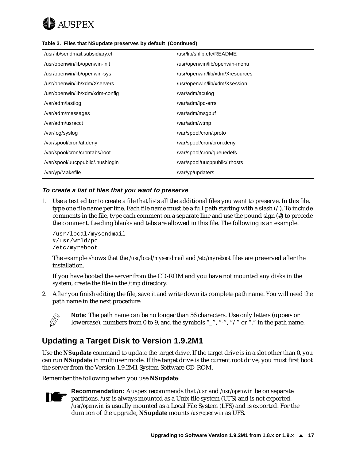<span id="page-22-0"></span>

|  |  |  |  |  | Table 3. Files that NSupdate preserves by default (Continued) |
|--|--|--|--|--|---------------------------------------------------------------|
|--|--|--|--|--|---------------------------------------------------------------|

| /usr/lib/sendmail.subsidiary.cf  | /usr/lib/shlib.etc/README       |
|----------------------------------|---------------------------------|
| /usr/openwin/lib/openwin-init    | /usr/openwin/lib/openwin-menu   |
| /usr/openwin/lib/openwin-sys     | /usr/openwin/lib/xdm/Xresources |
| /usr/openwin/lib/xdm/Xservers    | /usr/openwin/lib/xdm/Xsession   |
| /usr/openwin/lib/xdm/xdm-config  | /var/adm/aculog                 |
| /var/adm/lastlog                 | /var/adm/lpd-errs               |
| /var/adm/messages                | /var/adm/msgbuf                 |
| /var/adm/usracct                 | /var/adm/wtmp                   |
| /var/log/syslog                  | /var/spool/cron/.proto          |
| /var/spool/cron/at.deny          | /var/spool/cron/cron.deny       |
| /var/spool/cron/crontabs/root    | /var/spool/cron/queuedefs       |
| /var/spool/uucppublic/.hushlogin | /var/spool/uucppublic/.rhosts   |
| /var/yp/Makefile                 | /var/yp/updaters                |

#### **To create a list of files that you want to preserve**

1. Use a text editor to create a file that lists all the additional files you want to preserve. In this file, type one file name per line. Each file name must be a full path starting with a slash (/). To include comments in the file, type each comment on a separate line and use the pound sign (#) to precede the comment. Leading blanks and tabs are allowed in this file. The following is an example:

/usr/local/mysendmail #/usr/wrld/pc /etc/myreboot

The example shows that the */usr/local/mysendmail* and */etc/myreboot* files are preserved after the installation.

If you have booted the server from the CD-ROM and you have not mounted any disks in the system, create the file in the */tmp* directory.

2. After you finish editing the file, save it and write down its complete path name. You will need the path name in the next procedure.



**Note:** The path name can be no longer than 56 characters. Use only letters (upper- or lowercase), numbers from 0 to 9, and the symbols "\_", "-", "/" or "." in the path name.

### **Updating a Target Disk to Version 1.9.2M1**

Use the **NSupdate** command to update the target drive. If the target drive is in a slot other than 0, you can run **NSupdate** in multiuser mode. If the target drive is the current root drive, you must first boot the server from the Version 1.9.2M1 System Software CD-ROM.

Remember the following when you use **NSupdate**:



**Recommendation:** Auspex recommends that */usr* and */usr/openwin* be on separate partitions. */usr* is always mounted as a Unix file system (UFS) and is not exported. */usr/openwin* is usually mounted as a Local File System (LFS) and is exported. For the duration of the upgrade, **NSupdate** mounts */usr/openwin* as UFS.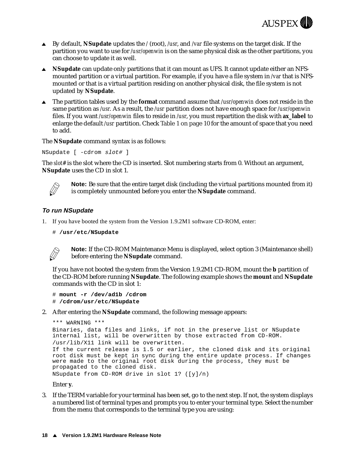

- <sup>s</sup> By default, **NSupdate** updates the */* (root), */usr*, and */var* file systems on the target disk. If the partition you want to use for */usr/openwin* is on the same physical disk as the other partitions, you can choose to update it as well.
- **Supdate** can update only partitions that it can mount as UFS. It cannot update either an NFSmounted partition or a virtual partition. For example, if you have a file system in */var* that is NFSmounted or that is a virtual partition residing on another physical disk, the file system is not updated by **NSupdate**.
- The partition tables used by the **format** command assume that */usr/openwin* does not reside in the same partition as */usr*. As a result, the */usr* partition does not have enough space for */usr/openwin* files. If you want */usr/openwin* files to reside in */usr*, you must repartition the disk with **ax\_label** to enlarge the default */usr* partition. C[heck Table 1 on pa](#page-15-0)ge 10 for the amount of space that you need to add.

The **NSupdate** command syntax is as follows:

NSupdate [ -cdrom slot# ]

The *slot#* is the slot where the CD is inserted. Slot numbering starts from 0. Without an argument, **NSupdate** uses the CD in slot 1.



**Note:** Be sure that the entire target disk (including the virtual partitions mounted from it) is completely unmounted before you enter the **NSupdate** command.

#### **To run NSupdate**

- 1. If you have booted the system from the Version 1.9.2M1 software CD-ROM, enter:
	- # **/usr/etc/NSupdate**



**Note:** If the CD-ROM Maintenance Menu is displayed, select option 3 (Maintenance shell) before entering the **NSupdate** command.

If you have not booted the system from the Version 1.9.2M1 CD-ROM, mount the **b** partition of the CD-ROM before running **NSupdate**. The following example shows the **mount** and **NSupdate** commands with the CD in slot 1:

```
# mount -r /dev/ad1b /cdrom
# /cdrom/usr/etc/NSupdate
```
2. After entering the **NSupdate** command, the following message appears:

```
*** WARNING ***
Binaries, data files and links, if not in the preserve list or NSupdate 
internal list, will be overwritten by those extracted from CD-ROM.
/usr/lib/X11 link will be overwritten.
If the current release is 1.5 or earlier, the cloned disk and its original 
root disk must be kept in sync during the entire update process. If changes 
were made to the original root disk during the process, they must be 
propagated to the cloned disk. 
NSupdate from CD-ROM drive in slot 1? ([y]/n)
```
Enter **y**.

3. If the TERM variable for your terminal has been set, go to the next step. If not, the system displays a numbered list of terminal types and prompts you to enter your terminal type. Select the number from the menu that corresponds to the terminal type you are using: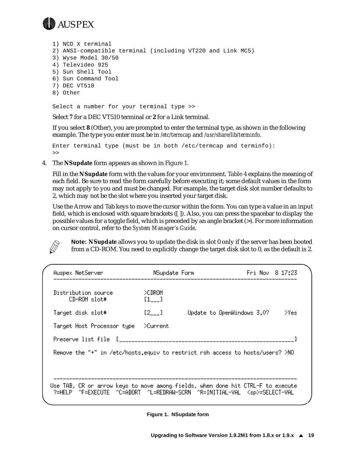

1) NCD X terminal 2) ANSI-compatible terminal (including VT220 and Link MC5) 3) Wyse Model 30/50 4) Televideo 925 5) Sun Shell Tool 6) Sun Command Tool 7) DEC VT510 8) Other

Select a number for your terminal type >>

Select **7** for a DEC VT510 terminal or **2** for a Link terminal.

If you select **8** (Other), you are prompted to enter the terminal type, as shown in the following example. The type you enter must be in */etc/termcap* and */usr/share/lib/terminfo*.

Enter terminal type (must be in both /etc/termcap and terminfo): >>

4. The **NSupdate** form appears as shown in Figure 1.

Fill in the **NSupdate** form with the values for your envir[onment](#page-25-0). Table 4 explains the meaning of each field. Be sure to read the form carefully before executing it; some default values in the form may not apply to you and must be changed. For example, the target disk slot number defaults to 2, which may not be the slot where you inserted your target disk.

Use the Arrow and Tab keys to move the cursor within the form. You can type a value in an input field, which is enclosed with square brackets ([ ]). Also, you can press the spacebar to display the possible values for a toggle field, which is preceded by an angle bracket (>). For more information on cursor control, refer to the *System Manager's Guide*.

**Note: NSupdate** allows you to update the disk in slot 0 only if the server has been booted from a CD-ROM. You need to explicitly change the target disk slot to 0, as the default is 2.

| Auspex NetServer                                                                                                                                                            | NSupdate Form                                   |                            | Fri Nov 8 17:23 |      |
|-----------------------------------------------------------------------------------------------------------------------------------------------------------------------------|-------------------------------------------------|----------------------------|-----------------|------|
| Distribution source<br>CD-ROM slot#                                                                                                                                         | >CDROM<br>$\begin{bmatrix} 1 & 1 \end{bmatrix}$ |                            |                 |      |
| Target disk slot#                                                                                                                                                           | [2]                                             | Update to OpenWindows 3.0? |                 | Yes: |
| Target Host Processor type                                                                                                                                                  | >Current                                        |                            |                 |      |
|                                                                                                                                                                             |                                                 |                            |                 |      |
| Remove the "+" in /etc/hosts.equiv to restrict rsh access to hosts/users? >NO                                                                                               |                                                 |                            |                 |      |
|                                                                                                                                                                             |                                                 |                            |                 |      |
| Use TAB, CR or arrow keys to move among fields, when done hit CTRL-F to execute<br>-^F=EXECUTE -^C=ABORT -^L=REDRAW-SCRN -^R=INITIAL-VAL - <sp>=SELECT-VAL^<br/>?=HELP</sp> |                                                 |                            |                 |      |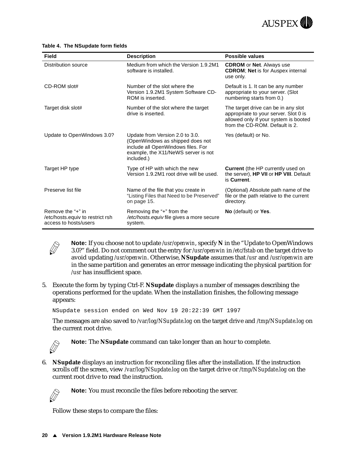

| Field                                                                          | <b>Description</b>                                                                                                                                             | <b>Possible values</b>                                                                                                                                  |
|--------------------------------------------------------------------------------|----------------------------------------------------------------------------------------------------------------------------------------------------------------|---------------------------------------------------------------------------------------------------------------------------------------------------------|
| Distribution source                                                            | Medium from which the Version 1.9.2M1<br>software is installed.                                                                                                | <b>CDROM</b> or <b>Net</b> . Always use<br><b>CDROM; Net is for Auspex internal</b><br>use only.                                                        |
| CD-ROM slot#                                                                   | Number of the slot where the<br>Version 1.9.2M1 System Software CD-<br>ROM is inserted.                                                                        | Default is 1. It can be any number<br>appropriate to your server. (Slot<br>numbering starts from 0.)                                                    |
| Target disk slot#                                                              | Number of the slot where the target<br>drive is inserted.                                                                                                      | The target drive can be in any slot<br>appropriate to your server. Slot 0 is<br>allowed only if your system is booted<br>from the CD-ROM. Default is 2. |
| Update to OpenWindows 3.0?                                                     | Update from Version 2.0 to 3.0.<br>(OpenWindows as shipped does not<br>include all OpenWindows files. For<br>example, the X11/NeWS server is not<br>included.) | Yes (default) or No.                                                                                                                                    |
| Target HP type                                                                 | Type of HP with which the new<br>Version 1.9.2M1 root drive will be used.                                                                                      | Current (the HP currently used on<br>the server), HP VII or HP VIII. Default<br>is Current.                                                             |
| Preserve list file                                                             | Name of the file that you create in<br>"Listing Files that Need to be Preserved"<br>on page 15.                                                                | (Optional) Absolute path name of the<br>file or the path relative to the current<br>directory.                                                          |
| Remove the "+" in<br>/etc/hosts.equiv to restrict rsh<br>access to hosts/users | Removing the "+" from the<br>/etc/hosts.equiv file gives a more secure<br>system.                                                                              | No (default) or Yes.                                                                                                                                    |

#### <span id="page-25-0"></span>**Table 4. The NSupdate form fields**



**Note:** If you choose not to update */usr/openwin*, specify **N** in the "Update to OpenWindows 3.0?" field. Do not comment out the entry for */usr/openwin* in */etc/fstab* on the target drive to avoid updating */usr/openwin*. Otherwise, **NSupdate** assumes that */usr* and */usr/openwin* are in the same partition and generates an error message indicating the physical partition for */usr* has insufficient space.

5. Execute the form by typing Ctrl-F. **NSupdate** displays a number of messages describing the operations performed for the update. When the installation finishes, the following message appears:

NSupdate session ended on Wed Nov 19 20:22:39 GMT 1997

The messages are also saved to */var/log/NSupdate.log* on the target drive and */tmp/NSupdate.log* on the current root drive.



**Note:** The **NSupdate** command can take longer than an hour to complete.

6. **NSupdate** displays an instruction for reconciling files after the installation. If the instruction scrolls off the screen, view */var/log/NSupdate.log* on the target drive or */tmp/NSupdate.log* on the current root drive to read the instruction.



**Note:** You must reconcile the files before rebooting the server.

Follow these steps to compare the files: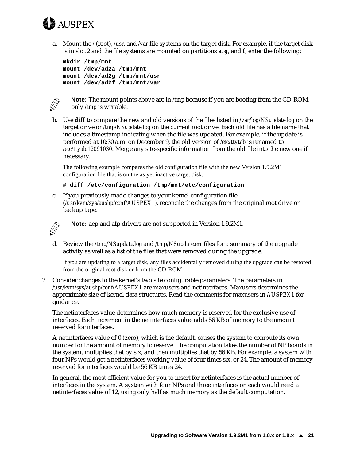<span id="page-26-0"></span>

a. Mount the */* (root), */usr*, and */var* file systems on the target disk. For example, if the target disk is in slot 2 and the file systems are mounted on partitions **a**, **g**, and **f**, enter the following:

```
mkdir /tmp/mnt 
mount /dev/ad2a /tmp/mnt
mount /dev/ad2g /tmp/mnt/usr
mount /dev/ad2f /tmp/mnt/var
```


**Note:** The mount points above are in */tmp* because if you are booting from the CD-ROM, only */tmp* is writable.

b. Use **diff** to compare the new and old versions of the files listed in */var/log/NSupdate.log* on the target drive or */tmp/NSupdate.log* on the current root drive. Each old file has a file name that includes a timestamp indicating when the file was updated. For example, if the update is performed at 10:30 a.m. on December 9, the old version of */etc/ttytab* is renamed to */etc/ttyab.12091030*. Merge any site-specific information from the old file into the new one if necessary.

The following example compares the old configuration file with the new Version 1.9.2M1 configuration file that is on the as yet inactive target disk.

# **diff /etc/configuration /tmp/mnt/etc/configuration**

c. If you previously made changes to your kernel configuration file (*/usr/kvm/sys/aushp/conf/AUSPEX1*), reconcile the changes from the original root drive or backup tape.



**Note:** aep and afp drivers are not supported in Version 1.9.2M1.

d. Review the */tmp/NSupdate.log* and */tmp/NSupdate.err* files for a summary of the upgrade activity as well as a list of the files that were removed during the upgrade.

If you are updating to a target disk, any files accidentally removed during the upgrade can be restored from the original root disk or from the CD-ROM.

7. Consider changes to the kernel's two site configurable parameters. The parameters in */usr/kvm/sys/aushp/conf/AUSPEX1* are maxusers and netinterfaces. Maxusers determines the approximate size of kernel data structures. Read the comments for maxusers in *AUSPEX1* for guidance.

The netinterfaces value determines how much memory is reserved for the exclusive use of interfaces. Each increment in the netinterfaces value adds 56 KB of memory to the amount reserved for interfaces.

A netinterfaces value of 0 (zero), which is the default, causes the system to compute its own number for the amount of memory to reserve. The computation takes the number of NP boards in the system, multiplies that by six, and then multiplies that by 56 KB. For example, a system with four NPs would get a netinterfaces working value of four times six, or 24. The amount of memory reserved for interfaces would be 56 KB times 24.

In general, the most efficient value for you to insert for netinterfaces is the actual number of interfaces in the system. A system with four NPs and three interfaces on each would need a netinterfaces value of 12, using only half as much memory as the default computation.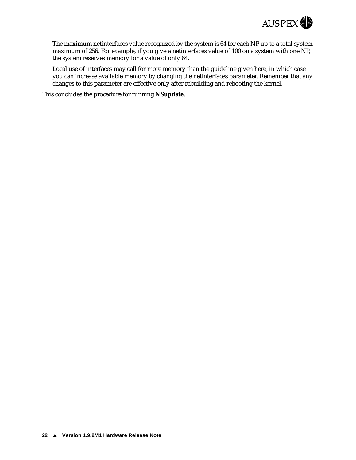

The maximum netinterfaces value recognized by the system is 64 for each NP up to a total system maximum of 256. For example, if you give a netinterfaces value of 100 on a system with one NP, the system reserves memory for a value of only 64.

Local use of interfaces may call for more memory than the guideline given here, in which case you can increase available memory by changing the netinterfaces parameter. Remember that any changes to this parameter are effective only after rebuilding and rebooting the kernel.

This concludes the procedure for running **NSupdate**.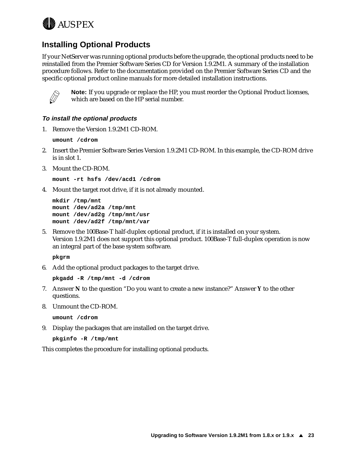<span id="page-28-0"></span>

### **Installing Optional Products**

If your NetServer was running optional products before the upgrade, the optional products need to be reinstalled from the Premier Software Series CD for Version 1.9.2M1. A summary of the installation procedure follows. Refer to the documentation provided on the Premier Software Series CD and the specific optional product online manuals for more detailed installation instructions.



**Note:** If you upgrade or replace the HP, you must reorder the Optional Product licenses, which are based on the HP serial number.

#### **To install the optional products**

1. Remove the Version 1.9.2M1 CD-ROM.

**umount /cdrom**

- 2. Insert the Premier Software Series Version 1.9.2M1 CD-ROM. In this example, the CD-ROM drive is in slot 1.
- 3. Mount the CD-ROM.

```
mount -rt hsfs /dev/acd1 /cdrom
```
4. Mount the target root drive, if it is not already mounted.

```
mkdir /tmp/mnt
mount /dev/ad2a /tmp/mnt
mount /dev/ad2g /tmp/mnt/usr
mount /dev/ad2f /tmp/mnt/var
```
5. Remove the 100Base-T half-duplex optional product, if it is installed on your system. Version 1.9.2M1 does not support this optional product. 100Base-T full-duplex operation is now an integral part of the base system software.

**pkgrm**

6. Add the optional product packages to the target drive.

```
pkgadd -R /tmp/mnt -d /cdrom
```
- 7. Answer **N** to the question "Do you want to create a new instance?" Answer **Y** to the other questions.
- 8. Unmount the CD-ROM.

**umount /cdrom**

9. Display the packages that are installed on the target drive.

```
pkginfo -R /tmp/mnt
```
This completes the procedure for installing optional products.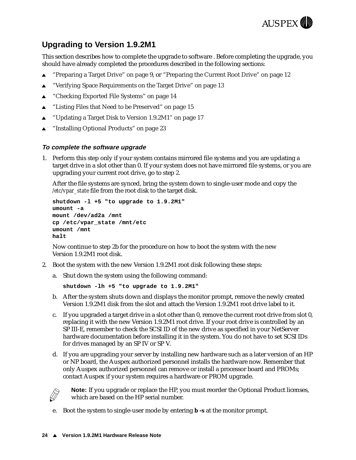

### <span id="page-29-0"></span>**Upgrading to Version 1.9.2M1**

This section describes how to complete the upgrade to software . Before completing the upgrade, you should have already completed the procedures described in the following sections:

- ▲ ["Preparing a Target Drive" on pa](#page-14-0)ge [9, or "Preparing the Current Root Drive" o](#page-17-0)n page 12
- ["Verifying Space Requirements on the Target Drive" on p](#page-18-0)age 13
- $\triangle$  ["Checking Exported File Systems" on pag](#page-19-0)e 14
- $\triangle$  ["Listing Files that Need to be Preserved" on pa](#page-20-0)ge 15
- <sup>s</sup> ["Updating a Target Disk to Version 1.9.2M1" on pa](#page-22-0)ge 17
- <sup>s</sup> ["Installing Optional Products" on pag](#page-28-0)e 23

#### **To complete the software upgrade**

1. Perform this step only if your system contains mirrored file systems and you are updating a target drive in a slot other than 0. If your system does not have mirrored file systems, or you are upgrading your current root drive, go to step 2.

After the file systems are synced, bring the system down to single-user mode and copy the */etc/vpar\_state* file from the root disk to the target disk.

```
shutdown -l +5 "to upgrade to 1.9.2M1" 
umount -a
mount /dev/ad2a /mnt
cp /etc/vpar_state /mnt/etc
umount /mnt
halt
```
Now continue to step 2b for the procedure on how to boot the system with the new Version 1.9.2M1 root disk.

- 2. Boot the system with the new Version 1.9.2M1 root disk following these steps:
	- a. Shut down the system using the following command:

**shutdown -lh +5 "to upgrade to 1.9.2M1"**

- b. After the system shuts down and displays the monitor prompt, remove the newly created Version 1.9.2M1 disk from the slot and attach the Version 1.9.2M1 root drive label to it.
- c. If you upgraded a target drive in a slot other than 0, remove the current root drive from slot 0, replacing it with the new Version 1.9.2M1 root drive. If your root drive is controlled by an SP III-E, remember to check the SCSI ID of the new drive as specified in your NetServer hardware documentation before installing it in the system. You do not have to set SCSI IDs for drives managed by an SP IV or SP V.
- d. If you are upgrading your server by installing new hardware such as a later version of an HP or NP board, the Auspex authorized personnel installs the hardware now. Remember that only Auspex authorized personnel can remove or install a processor board and PROMs; contact Auspex if your system requires a hardware or PROM upgrade.



**Note:** If you upgrade or replace the HP, you must reorder the Optional Product licenses, which are based on the HP serial number.

e. Boot the system to single-user mode by entering **b -s** at the monitor prompt.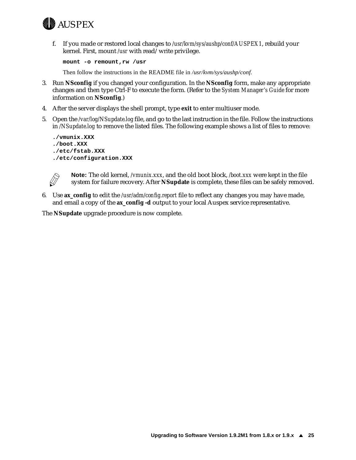

f. If you made or restored local changes to */usr/kvm/sys/aushp/conf/AUSPEX1*, rebuild your kernel. First, mount */usr* with read/write privilege.

**mount -o remount,rw /usr**

Then follow the instructions in the README file in */usr/kvm/sys/aushp/conf*.

- 3. Run **NSconfig** if you changed your configuration. In the **NSconfig** form, make any appropriate changes and then type Ctrl-F to execute the form. (Refer to the *System Manager's Guide* for more information on **NSconfig**.)
- 4. After the server displays the shell prompt, type **exit** to enter multiuser mode.
- 5. Open the */var/log/NSupdate.log* file, and go to the last instruction in the file. Follow the instructions in */NSupdate.log* to remove the listed files. The following example shows a list of files to remove:

```
./vmunix.XXX
./boot.XXX
./etc/fstab.XXX
```




**Note:** The old kernel, */vmunix.xxx*, and the old boot block, */boot.xxx* were kept in the file system for failure recovery. After **NSupdate** is complete, these files can be safely removed.

6. Use **ax\_config** to edit the */usr/adm/config.report* file to reflect any changes you may have made, and email a copy of the **ax\_config -d** output to your local Auspex service representative.

The **NSupdate** upgrade procedure is now complete.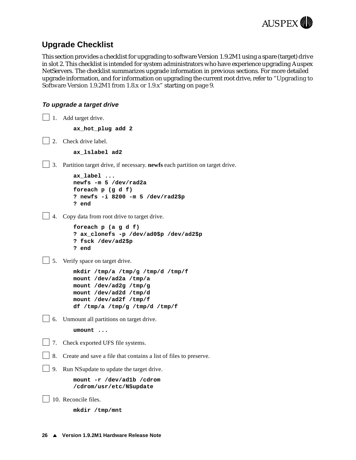

### <span id="page-31-0"></span>**Upgrade Checklist**

This section provides a checklist for upgrading to software Version 1.9.2M1 using a spare (target) drive in slot 2. This checklist is intended for system administrators who have experience upgrading Auspex NetServers. The checklist summarizes upgrade information in previous sections. For more detailed upgrade information, and for information on upgrading the current root dri[ve, refer to "Upgrading to](#page-14-0)  [Software Version 1.9.2M1 from 1.8.x or 1.9](#page-14-0).x" startin[g on p](#page-14-0)age 9.

#### **To upgrade a target drive**

```
1. Add target drive.
          ax_hot_plug add 2
| 2. Check drive label.
          ax_lslabel ad2
3. Partition target drive, if necessary. newfs each partition on target drive.
          ax_label ...
          newfs -m 5 /dev/rad2a
          foreach p (g d f)
          ? newfs -i 8200 -m 5 /dev/rad2$p
          ? end
4. Copy data from root drive to target drive.
          foreach p (a g d f)
          ? ax_clonefs -p /dev/ad0$p /dev/ad2$p
          ? fsck /dev/ad2$p
          ? end
5. Verify space on target drive.
          mkdir /tmp/a /tmp/g /tmp/d /tmp/f
          mount /dev/ad2a /tmp/a
          mount /dev/ad2g /tmp/g
          mount /dev/ad2d /tmp/d
          mount /dev/ad2f /tmp/f
          df /tmp/a /tmp/g /tmp/d /tmp/f
6. Unmount all partitions on target drive.
          umount ...
7. Check exported UFS file systems.
8. Create and save a file that contains a list of files to preserve.
9. Run NSupdate to update the target drive.
          mount -r /dev/ad1b /cdrom
          /cdrom/usr/etc/NSupdate
| | 10. Reconcile files.
          mkdir /tmp/mnt
```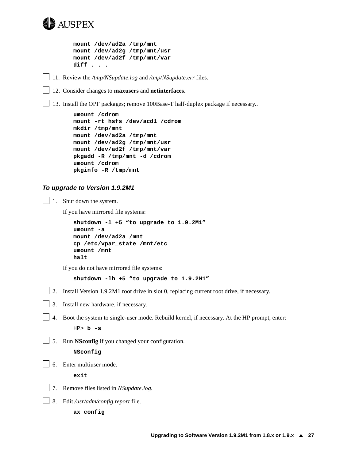

**mount /dev/ad2a /tmp/mnt mount /dev/ad2g /tmp/mnt/usr mount /dev/ad2f /tmp/mnt/var diff . . .**

11. Review the */tmp/NSupdate.log* and */tmp/NSupdate.err* files.

12. Consider changes to **maxusers** and **netinterfaces.**

13. Install the OPF packages; remove 100Base-T half-duplex package if necessary..

```
umount /cdrom
mount -rt hsfs /dev/acd1 /cdrom
mkdir /tmp/mnt
mount /dev/ad2a /tmp/mnt
mount /dev/ad2g /tmp/mnt/usr
mount /dev/ad2f /tmp/mnt/var
pkgadd -R /tmp/mnt -d /cdrom
umount /cdrom
pkginfo -R /tmp/mnt
```
#### **To upgrade to Version 1.9.2M1**

1. Shut down the system.

If you have mirrored file systems:

```
shutdown -l +5 "to upgrade to 1.9.2M1"
umount -a
mount /dev/ad2a /mnt
cp /etc/vpar_state /mnt/etc
umount /mnt
halt
```
If you do not have mirrored file systems:

```
shutdown -lh +5 "to upgrade to 1.9.2M1"
```
- 2. Install Version 1.9.2M1 root drive in slot 0, replacing current root drive, if necessary.
- 3. Install new hardware, if necessary.
- 4. Boot the system to single-user mode. Rebuild kernel, if necessary. At the HP prompt, enter: HP> **b -s**
- 5. Run **NSconfig** if you changed your configuration.

**NSconfig**

| 6. Enter multiuser mode.

**exit**

- 7. Remove files listed in *NSupdate.log*.
- 8. Edit */usr/adm/config.report* file.

**ax\_config**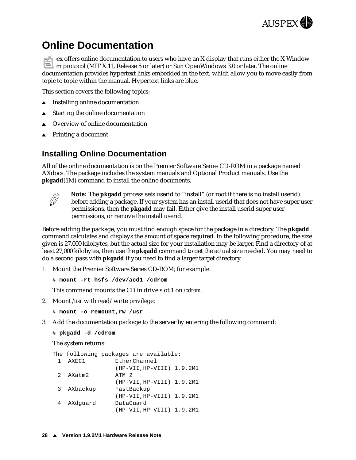

# <span id="page-33-0"></span>**Online Documentation**

Auspex offers online documentation to users who have an X display that runs either the X Window System protocol (MIT X.11, Release 5 or later) or Sun OpenWindows 3.0 or later. The online documentation provides hypertext links embedded in the text, which allow you to move easily from topic to topic within the manual. Hypertext links are blue.

This section covers the following topics:

- $\blacktriangle$  Installing online documentation
- $\blacktriangle$  Starting the online documentation
- Overview of online documentation
- $\triangle$  [Printing a document](#page-37-0)

#### **Installing Online Documentation**

All of the online documentation is on the Premier Software Series CD-ROM in a package named AXdocs. The package includes the system manuals and Optional Product manuals. Use the **pkgadd**(1M) command to install the online documents.



**Note:** The **pkgadd** process sets userid to "install" (or root if there is no install userid) before adding a package. If your system has an install userid that does not have super user permissions, then the **pkgadd** may fail. Either give the install userid super user permissions, or remove the install userid.

Before adding the package, you must find enough space for the package in a directory. The **pkgadd** command calculates and displays the amount of space required. In the following procedure, the size given is 27,000 kilobytes, but the actual size for your installation may be larger. Find a directory of at least 27,000 kilobytes, then use the **pkgadd** command to get the actual size needed. You may need to do a second pass with **pkgadd** if you need to find a larger target directory.

1. Mount the Premier Software Series CD-ROM; for example:

# **mount -rt hsfs /dev/acd1 /cdrom**

This command mounts the CD in drive slot 1 on */cdrom*.

2. Mount */usr* with read/write privilege:

```
# mount -o remount,rw /usr
```
3. Add the documentation package to the server by entering the following command:

```
# pkgadd -d /cdrom
```
The system returns:

```
The following packages are available:
 1 AXEC1 EtherChannel
               (HP-VII,HP-VIII) 1.9.2M1
 2 AXatm2 ATM 2
               (HP-VII,HP-VIII) 1.9.2M1
 3 AXbackup FastBackup
               (HP-VII,HP-VIII) 1.9.2M1
 4 AXdguard DataGuard
               (HP-VII,HP-VIII) 1.9.2M1
```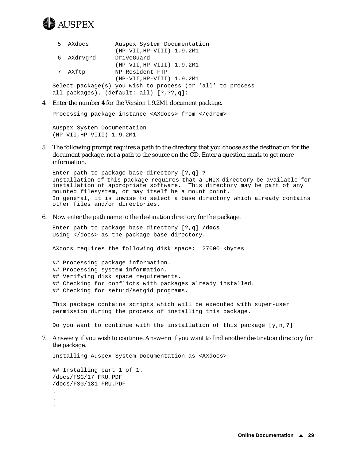

| 5 AXdocs   | Auspex System Documentation                                |
|------------|------------------------------------------------------------|
|            | (HP-VII, HP-VIII) 1.9.2M1                                  |
| 6 AXdrvgrd | DriveGuard                                                 |
|            | (HP-VII, HP-VIII) 1.9.2M1                                  |
| 7 AXftp    | NP Resident FTP                                            |
|            | (HP-VII, HP-VIII) 1.9.2M1                                  |
|            | Select package(s) you wish to process (or 'all' to process |
|            | all packages). (default: all) [?,??,q]:                    |
|            |                                                            |

4. Enter the number **4** for the Version 1.9.2M1 document package.

Processing package instance <AXdocs> from </cdrom>

Auspex System Documentation (HP-VII,HP-VIII) 1.9.2M1

5. The following prompt requires a path to the directory that you choose as the destination for the document package, not a path to the source on the CD. Enter a question mark to get more information.

Enter path to package base directory [?,q] **?** Installation of this package requires that a UNIX directory be available for installation of appropriate software. This directory may be part of any mounted filesystem, or may itself be a mount point. In general, it is unwise to select a base directory which already contains other files and/or directories.

6. Now enter the path name to the destination directory for the package.

Enter path to package base directory [?,q] **/docs** Using </docs> as the package base directory.

AXdocs requires the following disk space: 27000 kbytes

- ## Processing package information.
- ## Processing system information.
- ## Verifying disk space requirements.
- ## Checking for conflicts with packages already installed.
- ## Checking for setuid/setgid programs.

This package contains scripts which will be executed with super-user permission during the process of installing this package.

Do you want to continue with the installation of this package  $[y,n,?]$ 

7. Answer **y** if you wish to continue. Answer **n** if you want to find another destination directory for the package.

Installing Auspex System Documentation as <AXdocs>

## Installing part 1 of 1. /docs/FSG/17\_FRU.PDF /docs/FSG/181\_FRU.PDF . . .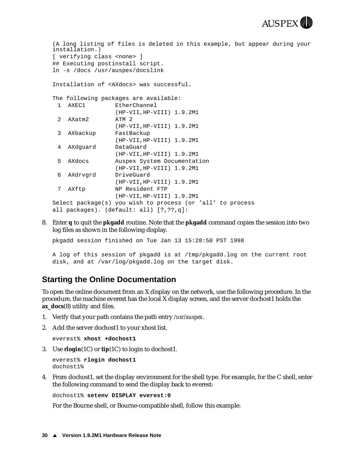

```
(A long listing of files is deleted in this example, but appear during your 
installation.)
[ verifying class <none> ]
## Executing postinstall script.
ln -s /docs /usr/auspex/docslink
Installation of <AXdocs> was successful.
The following packages are available:
 1 AXEC1 EtherChannel
                (HP-VII,HP-VIII) 1.9.2M1
 2 AXatm2 ATM 2
                (HP-VII,HP-VIII) 1.9.2M1
 3 AXbackup FastBackup
                (HP-VII,HP-VIII) 1.9.2M1
 4 AXdguard DataGuard
                (HP-VII,HP-VIII) 1.9.2M1
 5 AXdocs Auspex System Documentation
                (HP-VII,HP-VIII) 1.9.2M1
 6 AXdrvgrd DriveGuard
                (HP-VII,HP-VIII) 1.9.2M1
 7 AXftp NP Resident FTP
                (HP-VII,HP-VIII) 1.9.2M1
Select package(s) you wish to process (or 'all' to process
all packages). (default: all) [?,??,q]:
```
8. Enter **q** to quit the **pkgadd** routine. Note that the **pkgadd** command copies the session into two log files as shown in the following display.

pkgadd session finished on Tue Jan 13 15:28:50 PST 1998

A log of this session of pkgadd is at /tmp/pkgadd.log on the current root disk, and at /var/log/pkgadd.log on the target disk.

#### **Starting the Online Documentation**

To open the online document from an X display on the network, use the following procedure. In the procedure, the machine everest has the local X display screen, and the server dochost1 holds the **ax\_docs**(8) utility and files.

- 1. Verify that your path contains the path entry */usr/auspex*.
- 2. Add the server dochost1 to your xhost list.

```
everest% xhost +dochost1
```
3. Use **rlogin**(1C) or **tip**(1C) to login to dochost1.

```
everest% rlogin dochost1
dochost1%
```
4. From dochost1, set the display environment for the shell type. For example, for the C shell, enter the following command to send the display back to everest:

dochost1% **setenv DISPLAY everest:0** 

For the Bourne shell, or Bourne-compatible shell, follow this example: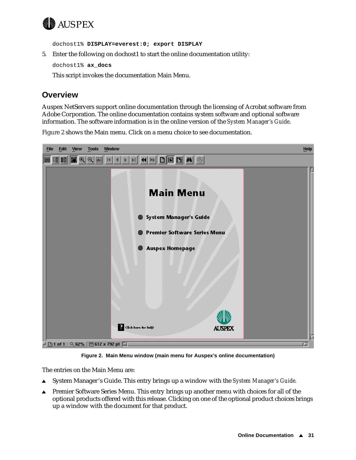<span id="page-36-0"></span>

dochost1% **DISPLAY=everest:0; export DISPLAY** 

5. Enter the following on dochost1 to start the online documentation utility:

dochost1% **ax\_docs** 

This script invokes the documentation Main Menu.

#### **Overview**

Auspex NetServers support online documentation through the licensing of Acrobat software from Adobe Corporation. The online documentation contains system software and optional software information. The software information is in the online version of the *System Manager's Guide*.

Figure 2 shows the Main menu. Click on a menu choice to see documentation.



**Figure 2. Main Menu window (main menu for Auspex's online documentation)**

The entries on the Main Menu are:

- System Manager's Guide. This entry brings up a window with the *System Manager's Guide*.
- **A** Premier Software Series Menu. This entry brings up another menu with choices for all of the optional products offered with this release. Clicking on one of the optional product choices brings up a window with the document for that product.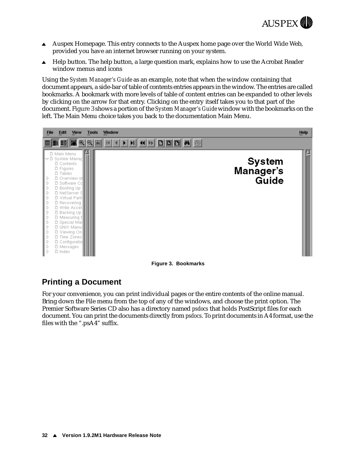

- <span id="page-37-0"></span>Auspex Homepage. This entry connects to the Auspex home page over the World Wide Web, provided you have an internet browser running on your system.
- $\triangle$  Help button. The help button, a large question mark, explains how to use the Acrobat Reader window menus and icons

Using the *System Manager's Guide* as an example, note that when the window containing that document appears, a side-bar of table of contents entries appears in the window. The entries are called bookmarks. A bookmark with more levels of table of content entries can be expanded to other levels by clicking on the arrow for that entry. Clicking on the entry itself takes you to that part of the document. Figure 3 shows a portion of the *System Manager's Guide* window with the bookmarks on the left. The Main Menu choice takes you back to the documentation Main Menu.



**Figure 3. Bookmarks**

### **Printing a Document**

For your convenience, you can print individual pages or the entire contents of the online manual. Bring down the File menu from the top of any of the windows, and choose the print option. The Premier Software Series CD also has a directory named *psdocs* that holds PostScript files for each document. You can print the documents directly from *psdocs*. To print documents in A4 format, use the files with the ".psA4" suffix.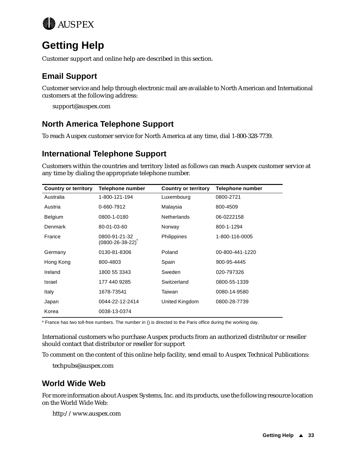<span id="page-38-0"></span>

# **Getting Help**

Customer support and online help are described in this section.

### **Email Support**

Customer service and help through electronic mail are available to North American and International customers at the following address:

support@auspex.com

### **North America Telephone Support**

To reach Auspex customer service for North America at any time, dial 1-800-328-7739.

### **International Telephone Support**

Customers within the countries and territory listed as follows can reach Auspex customer service at any time by dialing the appropriate telephone number.

| <b>Country or territory</b> | Telephone number                           | <b>Country or territory</b> | Telephone number |
|-----------------------------|--------------------------------------------|-----------------------------|------------------|
| Australia                   | 1-800-121-194                              | Luxembourg                  | 0800-2721        |
| Austria                     | 0-660-7912                                 | Malaysia                    | 800-4509         |
| Belgium                     | 0800-1-0180                                | <b>Netherlands</b>          | 06-0222158       |
| Denmark                     | 80-01-03-60                                | Norway                      | 800-1-1294       |
| France                      | 0800-91-21-32<br>$(0800 - 26 - 38 - 22)^T$ | <b>Philippines</b>          | 1-800-116-0005   |
| Germany                     | 0130-81-8306                               | Poland                      | 00-800-441-1220  |
| Hong Kong                   | 800-4803                                   | Spain                       | 900-95-4445      |
| Ireland                     | 1800 55 3343                               | Sweden                      | 020-797326       |
| Israel                      | 177 440 9285                               | Switzerland                 | 0800-55-1339     |
| Italy                       | 1678-73541                                 | Taiwan                      | 0080-14-9580     |
| Japan                       | 0044-22-12-2414                            | United Kingdom              | 0800-28-7739     |
| Korea                       | 0038-13-0374                               |                             |                  |

\* France has two toll-free numbers. The number in () is directed to the Paris office during the working day.

International customers who purchase Auspex products from an authorized distributor or reseller should contact that distributor or reseller for support

To comment on the content of this online help facility, send email to Auspex Technical Publications:

techpubs@auspex.com

### **World Wide Web**

For more information about Auspex Systems, Inc. and its products, use the following resource location on the World Wide Web:

http://www.auspex.com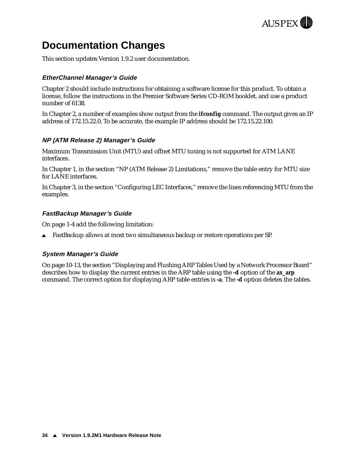

# <span id="page-39-0"></span>**Documentation Changes**

This section updates Version 1.9.2 user documentation.

#### **EtherChannel Manager's Guide**

Chapter 2 should include instructions for obtaining a software license for this product. To obtain a license, follow the instructions in the Premier Software Series CD-ROM booklet, and use a product number of 6138.

In Chapter 2, a number of examples show output from the **ifconfig** command. The output gives an IP address of 172.15.22.0. To be accurate, the example IP address should be 172.15.22.100.

#### **NP (ATM Release 2) Manager's Guide**

Maximum Transmission Unit (MTU) and offnet MTU tuning is not supported for ATM LANE interfaces.

In Chapter 1, in the section "NP (ATM Release 2) Limitations," remove the table entry for MTU size for LANE interfaces.

In Chapter 3, in the section "Configuring LEC Interfaces," remove the lines referencing MTU from the examples.

#### **FastBackup Manager's Guide**

On page 1-4 add the following limitation:

 $\blacktriangle$  FastBackup allows at most two simultaneous backup or restore operations per SP.

#### **System Manager's Guide**

On page 10-13, the section "Displaying and Flushing ARP Tables Used by a Network Processor Board" describes how to display the current entries in the ARP table using the **-d** option of the **ax\_arp** command. The correct option for displaying ARP table entries is **-a**. The **-d** option deletes the tables.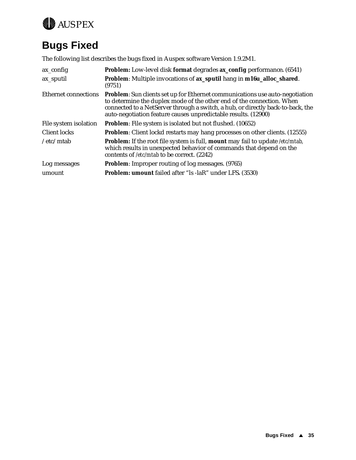<span id="page-40-0"></span>

# **Bugs Fixed**

The following list describes the bugs fixed in Auspex software Version 1.9.2M1.

| ax_config                   | Problem: Low-level disk format degrades ax_config performance. (6541)                                                                                                                                                                                                                                             |
|-----------------------------|-------------------------------------------------------------------------------------------------------------------------------------------------------------------------------------------------------------------------------------------------------------------------------------------------------------------|
| ax_sputil                   | Problem: Multiple invocations of ax_sputil hang in m16u_alloc_shared.<br>(9751)                                                                                                                                                                                                                                   |
| <b>Ethernet connections</b> | <b>Problem:</b> Sun clients set up for Ethernet communications use auto-negotiation<br>to determine the duplex mode of the other end of the connection. When<br>connected to a NetServer through a switch, a hub, or directly back-to-back, the<br>auto-negotiation feature causes unpredictable results. (12900) |
| File system isolation       | <b>Problem:</b> File system is isolated but not flushed. (10652)                                                                                                                                                                                                                                                  |
| Client locks                | <b>Problem:</b> Client lockd restarts may hang processes on other clients. (12555)                                                                                                                                                                                                                                |
| /etc/mtab                   | <b>Problem:</b> If the root file system is full, <b>mount</b> may fail to update /etc/mtab,<br>which results in unexpected behavior of commands that depend on the<br>contents of /etc/mtab to be correct. (2242)                                                                                                 |
| Log messages                | <b>Problem:</b> Improper routing of log messages. (9765)                                                                                                                                                                                                                                                          |
| umount                      | <b>Problem: umount failed after "ls -laR" under LFS. (3530)</b>                                                                                                                                                                                                                                                   |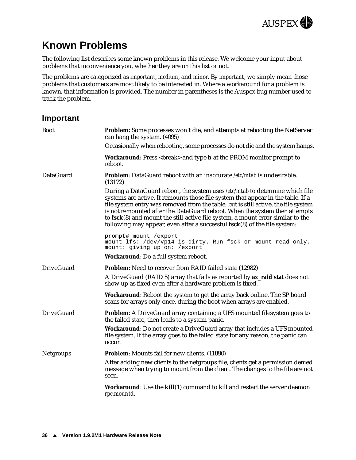

# <span id="page-41-0"></span>**Known Problems**

The following list describes some known problems in this release. We welcome your input about problems that inconvenience you, whether they are on this list or not.

The problems are categorized as *important*, *medium*, and *minor*. By *important*, we simply mean those problems that customers are most likely to be interested in. Where a workaround for a problem is known, that information is provided. The number in parentheses is the Auspex bug number used to track the problem.

#### **Important**

| <b>Boot</b>       | <b>Problem:</b> Some processes won't die, and attempts at rebooting the NetServer<br>can hang the system. (4095)                                                                                                                                                                                                                                                                                                                                                                                       |
|-------------------|--------------------------------------------------------------------------------------------------------------------------------------------------------------------------------------------------------------------------------------------------------------------------------------------------------------------------------------------------------------------------------------------------------------------------------------------------------------------------------------------------------|
|                   | Occasionally when rebooting, some processes do not die and the system hangs.                                                                                                                                                                                                                                                                                                                                                                                                                           |
|                   | <b>Workaround:</b> Press <break> and type <b>b</b> at the PROM monitor prompt to<br/>reboot.</break>                                                                                                                                                                                                                                                                                                                                                                                                   |
| DataGuard         | <b>Problem:</b> DataGuard reboot with an inaccurate /etc/mtab is undesirable.<br>(13172)                                                                                                                                                                                                                                                                                                                                                                                                               |
|                   | During a DataGuard reboot, the system uses /etc/mtab to determine which file<br>systems are active. It remounts those file system that appear in the table. If a<br>file system entry was removed from the table, but is still active, the file system<br>is not remounted after the DataGuard reboot. When the system then attempts<br>to fsck(8) and mount the still-active file system, a mount error similar to the<br>following may appear, even after a successful $fsck(8)$ of the file system: |
|                   | prompt# mount /export<br>mount_lfs: /dev/vp14 is dirty. Run fsck or mount read-only.<br>mount: giving up on: /export                                                                                                                                                                                                                                                                                                                                                                                   |
|                   | <b>Workaround:</b> Do a full system reboot.                                                                                                                                                                                                                                                                                                                                                                                                                                                            |
| <b>DriveGuard</b> | <b>Problem:</b> Need to recover from RAID failed state (12982)                                                                                                                                                                                                                                                                                                                                                                                                                                         |
|                   | A DriveGuard (RAID 5) array that fails as reported by ax_raid stat does not<br>show up as fixed even after a hardware problem is fixed.                                                                                                                                                                                                                                                                                                                                                                |
|                   | Workaround: Reboot the system to get the array back online. The SP board<br>scans for arrays only once, during the boot when arrays are enabled.                                                                                                                                                                                                                                                                                                                                                       |
| <b>DriveGuard</b> | <b>Problem:</b> A DriveGuard array containing a UFS mounted filesystem goes to<br>the failed state, then leads to a system panic.                                                                                                                                                                                                                                                                                                                                                                      |
|                   | Workaround: Do not create a DriveGuard array that includes a UFS mounted<br>file system. If the array goes to the failed state for any reason, the panic can<br>occur.                                                                                                                                                                                                                                                                                                                                 |
| Netgroups         | Problem: Mounts fail for new clients. (11890)                                                                                                                                                                                                                                                                                                                                                                                                                                                          |
|                   | After adding new clients to the netgroups file, clients get a permission denied<br>message when trying to mount from the client. The changes to the file are not<br>seen.                                                                                                                                                                                                                                                                                                                              |
|                   | <b>Workaround:</b> Use the kill(1) command to kill and restart the server daemon<br>rpc.mountd.                                                                                                                                                                                                                                                                                                                                                                                                        |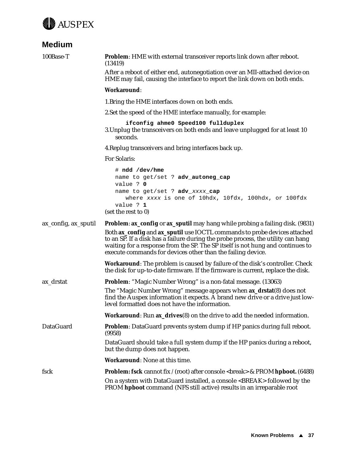<span id="page-42-0"></span>

# **Medium**

| 100Base-T            | Problem: HME with external transceiver reports link down after reboot.<br>(13419)                                                                                                                                                                                                                              |
|----------------------|----------------------------------------------------------------------------------------------------------------------------------------------------------------------------------------------------------------------------------------------------------------------------------------------------------------|
|                      | After a reboot of either end, autonegotiation over an MII-attached device on<br>HME may fail, causing the interface to report the link down on both ends.                                                                                                                                                      |
|                      | Workaround:                                                                                                                                                                                                                                                                                                    |
|                      | 1. Bring the HME interfaces down on both ends.                                                                                                                                                                                                                                                                 |
|                      | 2. Set the speed of the HME interface manually, for example:                                                                                                                                                                                                                                                   |
|                      | ifconfig ahme0 Speed100 fullduplex<br>3. Unplug the transceivers on both ends and leave unplugged for at least 10<br>seconds.                                                                                                                                                                                  |
|                      | 4. Replug transceivers and bring interfaces back up.                                                                                                                                                                                                                                                           |
|                      | For Solaris:                                                                                                                                                                                                                                                                                                   |
|                      | # ndd /dev/hme<br>name to get/set ? adv_autoneg_cap<br>value ? 0                                                                                                                                                                                                                                               |
|                      | name to get/set ? adv_xxxx_cap<br>where xxxx is one of 10hdx, 10fdx, 100hdx, or 100fdx<br>value ? 1<br>(set the rest to 0)                                                                                                                                                                                     |
| ax_config, ax_sputil | <b>Problem: ax_config or ax_sputil</b> may hang while probing a failing disk. (9831)                                                                                                                                                                                                                           |
|                      | Both ax_config and ax_sputil use IOCTL commands to probe devices attached<br>to an SP. If a disk has a failure during the probe process, the utility can hang<br>waiting for a response from the SP. The SP itself is not hung and continues to<br>execute commands for devices other than the failing device. |
|                      | <b>Workaround:</b> The problem is caused by failure of the disk's controller. Check<br>the disk for up-to-date firmware. If the firmware is current, replace the disk.                                                                                                                                         |
| ax_drstat            | <b>Problem:</b> "Magic Number Wrong" is a non-fatal message. (13063)                                                                                                                                                                                                                                           |
|                      | The "Magic Number Wrong" message appears when ax_drstat(8) does not<br>find the Auspex information it expects. A brand new drive or a drive just low-<br>level formatted does not have the information.                                                                                                        |
|                      | <b>Workaround: Run ax_drives(8)</b> on the drive to add the needed information.                                                                                                                                                                                                                                |
| <b>DataGuard</b>     | Problem: DataGuard prevents system dump if HP panics during full reboot.<br>(9958)                                                                                                                                                                                                                             |
|                      | DataGuard should take a full system dump if the HP panics during a reboot,<br>but the dump does not happen.                                                                                                                                                                                                    |
|                      | Workaround: None at this time.                                                                                                                                                                                                                                                                                 |
| fsck                 | <b>Problem: fsck</b> cannot fix / (root) after console<br><br><br><br><br><br><br><br><br><br><br><br><br><br><br><br>and the proof of the proof of the proof of the proof of<br>$(6488)$                                                                                                                      |
|                      | On a system with DataGuard installed, a console <break> followed by the<br/>PROM hpboot command (NFS still active) results in an irreparable root</break>                                                                                                                                                      |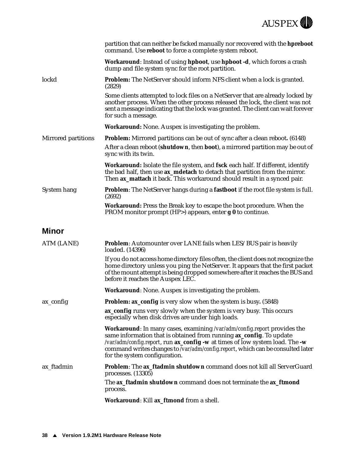

<span id="page-43-0"></span>

|                     | partition that can neither be fscked manually nor recovered with the hpreboot<br>command. Use reboot to force a complete system reboot.                                                                                                                                                                                                                    |
|---------------------|------------------------------------------------------------------------------------------------------------------------------------------------------------------------------------------------------------------------------------------------------------------------------------------------------------------------------------------------------------|
|                     | Workaround: Instead of using hpboot, use hpboot -d, which forces a crash<br>dump and file system sync for the root partition.                                                                                                                                                                                                                              |
| lockd               | Problem: The NetServer should inform NFS client when a lock is granted.<br>(2829)                                                                                                                                                                                                                                                                          |
|                     | Some clients attempted to lock files on a NetServer that are already locked by<br>another process. When the other process released the lock, the client was not<br>sent a message indicating that the lock was granted. The client can wait forever<br>for such a message.                                                                                 |
|                     | Workaround: None. Auspex is investigating the problem.                                                                                                                                                                                                                                                                                                     |
| Mirrored partitions | <b>Problem:</b> Mirrored partitions can be out of sync after a clean reboot. (6148)                                                                                                                                                                                                                                                                        |
|                     | After a clean reboot (shutdown, then boot), a mirrored partition may be out of<br>sync with its twin.                                                                                                                                                                                                                                                      |
|                     | Workaround: Isolate the file system, and fsck each half. If different, identify<br>the bad half, then use ax_mdetach to detach that partition from the mirror.<br>Then ax_mattach it back. This workaround should result in a synced pair.                                                                                                                 |
| System hang         | <b>Problem:</b> The NetServer hangs during a <b>fastboot</b> if the root file system is full.<br>(2692)                                                                                                                                                                                                                                                    |
|                     | Workaround: Press the Break key to escape the boot procedure. When the<br>PROM monitor prompt (HP>) appears, enter $g \theta$ to continue.                                                                                                                                                                                                                 |
| Minor               |                                                                                                                                                                                                                                                                                                                                                            |
| ATM (LANE)          | <b>Problem:</b> Automounter over LANE fails when LES/BUS pair is heavily<br>loaded. (14396)                                                                                                                                                                                                                                                                |
|                     | If you do not access home directory files often, the client does not recognize the<br>home directory unless you ping the NetServer. It appears that the first packet<br>of the mount attempt is being dropped somewhere after it reaches the BUS and<br>before it reaches the Auspex LEC.                                                                  |
|                     | Workaround: None. Auspex is investigating the problem.                                                                                                                                                                                                                                                                                                     |
| ax_config           | <b>Problem: ax_config</b> is very slow when the system is busy. (5848)                                                                                                                                                                                                                                                                                     |
|                     | <b>ax_config</b> runs very slowly when the system is very busy. This occurs<br>especially when disk drives are under high loads.                                                                                                                                                                                                                           |
|                     | Workaround: In many cases, examining /var/adm/config.report provides the<br>same information that is obtained from running <b>ax_config</b> . To update<br>/var/adm/config.report, run ax_config -w at times of low system load. The -w<br>command writes changes to /var/adm/config.report, which can be consulted later<br>for the system configuration. |
| ax ftadmin          | Problem: The ax_ftadmin shutdown command does not kill all ServerGuard<br>processes. (13305)                                                                                                                                                                                                                                                               |
|                     |                                                                                                                                                                                                                                                                                                                                                            |
|                     | The ax_ftadmin shutdown command does not terminate the ax_ftmond<br>process.                                                                                                                                                                                                                                                                               |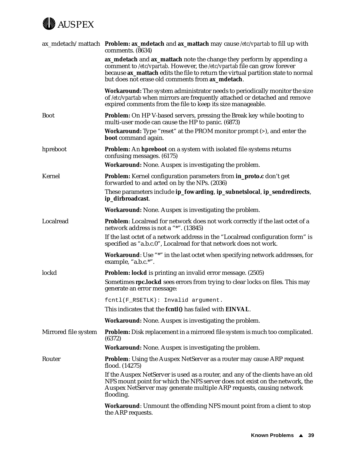

|                      | ax_mdetach/mattach Problem: ax_mdetach and ax_mattach may cause /etc/vpartab to fill up with<br>comments. (8634)                                                                                                                                                                           |
|----------------------|--------------------------------------------------------------------------------------------------------------------------------------------------------------------------------------------------------------------------------------------------------------------------------------------|
|                      | ax_mdetach and ax_mattach note the change they perform by appending a<br>comment to /etc/vpartab. However, the /etc/vpartab file can grow forever<br>because ax_mattach edits the file to return the virtual partition state to normal<br>but does not erase old comments from ax_mdetach. |
|                      | Workaround: The system administrator needs to periodically monitor the size<br>of /etc/vpartab when mirrors are frequently attached or detached and remove<br>expired comments from the file to keep its size manageable.                                                                  |
| <b>Boot</b>          | <b>Problem:</b> On HP V-based servers, pressing the Break key while booting to<br>multi-user mode can cause the HP to panic. (6873)                                                                                                                                                        |
|                      | <b>Workaround:</b> Type "reset" at the PROM monitor prompt (>), and enter the<br>boot command again.                                                                                                                                                                                       |
| hpreboot             | <b>Problem:</b> An <b>hpreboot</b> on a system with isolated file systems returns<br>confusing messages. (6175)                                                                                                                                                                            |
|                      | Workaround: None. Auspex is investigating the problem.                                                                                                                                                                                                                                     |
| Kernel               | <b>Problem:</b> Kernel configuration parameters from <b>in_proto.c</b> don't get<br>forwarded to and acted on by the NPs. (2036)                                                                                                                                                           |
|                      | These parameters include ip_fowarding, ip_subnetslocal, ip_sendredirects,<br>ip_dirbroadcast.                                                                                                                                                                                              |
|                      | <b>Workaround:</b> None. Auspex is investigating the problem.                                                                                                                                                                                                                              |
| Localread            | Problem: Localread for network does not work correctly if the last octet of a<br>network address is not a "*". (13845)                                                                                                                                                                     |
|                      | If the last octet of a network address in the "Localread configuration form" is<br>specified as "a.b.c.0", Localread for that network does not work.                                                                                                                                       |
|                      | Workaround: Use "*" in the last octet when specifying network addresses, for<br>example, "a.b.c.*".                                                                                                                                                                                        |
| lockd                | Problem: lockd is printing an invalid error message. (2505)                                                                                                                                                                                                                                |
|                      | Sometimes rpc.lockd sees errors from trying to clear locks on files. This may<br>generate an error message:                                                                                                                                                                                |
|                      | fcntl(F_RSETLK): Invalid argument.                                                                                                                                                                                                                                                         |
|                      | This indicates that the fcntl() has failed with EINVAL.                                                                                                                                                                                                                                    |
|                      | <b>Workaround:</b> None. Auspex is investigating the problem.                                                                                                                                                                                                                              |
| Mirrored file system | Problem: Disk replacement in a mirrored file system is much too complicated.<br>(6372)                                                                                                                                                                                                     |
|                      | <b>Workaround:</b> None. Auspex is investigating the problem.                                                                                                                                                                                                                              |
| Router               | <b>Problem:</b> Using the Auspex NetServer as a router may cause ARP request<br>flood. (14275)                                                                                                                                                                                             |
|                      | If the Auspex NetServer is used as a router, and any of the clients have an old<br>NFS mount point for which the NFS server does not exist on the network, the<br>Auspex NetServer may generate multiple ARP requests, causing network<br>flooding.                                        |
|                      | <b>Workaround:</b> Unmount the offending NFS mount point from a client to stop<br>the ARP requests.                                                                                                                                                                                        |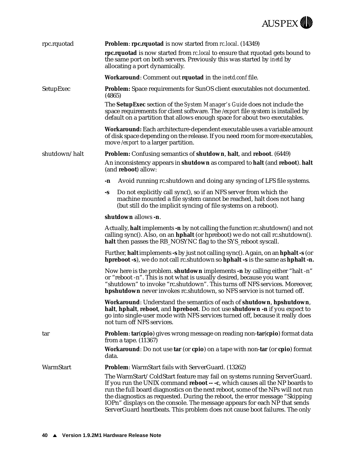

| rpc.rquotad   | Problem: rpc.rquotad is now started from rc.local. (14349)                                                                                                                                                                                                                                                                                                                                                                                                                             |
|---------------|----------------------------------------------------------------------------------------------------------------------------------------------------------------------------------------------------------------------------------------------------------------------------------------------------------------------------------------------------------------------------------------------------------------------------------------------------------------------------------------|
|               | rpc.rquotad is now started from rc.local to ensure that rquotad gets bound to<br>the same port on both servers. Previously this was started by inetd by<br>allocating a port dynamically.                                                                                                                                                                                                                                                                                              |
|               | Workaround: Comment out rquotad in the inetd.conffile.                                                                                                                                                                                                                                                                                                                                                                                                                                 |
| SetupExec     | Problem: Space requirements for SunOS client executables not documented.<br>(4865)                                                                                                                                                                                                                                                                                                                                                                                                     |
|               | The <b>SetupExec</b> section of the <i>System Manager's Guide</i> does not include the<br>space requirements for client software. The /export file system is installed by<br>default on a partition that allows enough space for about two executables.                                                                                                                                                                                                                                |
|               | Workaround: Each architecture-dependent executable uses a variable amount<br>of disk space depending on the release. If you need room for more executables,<br>move /export to a larger partition.                                                                                                                                                                                                                                                                                     |
| shutdown/halt | <b>Problem:</b> Confusing semantics of <b>shutdown</b> , halt, and reboot. (6449)                                                                                                                                                                                                                                                                                                                                                                                                      |
|               | An inconsistency appears in shutdown as compared to halt (and reboot). halt<br>(and reboot) allow:                                                                                                                                                                                                                                                                                                                                                                                     |
|               | Avoid running rc.shutdown and doing any syncing of LFS file systems.<br>-n                                                                                                                                                                                                                                                                                                                                                                                                             |
|               | Do not explicitly call sync(), so if an NFS server from which the<br>-S<br>machine mounted a file system cannot be reached, halt does not hang<br>(but still do the implicit syncing of file systems on a reboot).                                                                                                                                                                                                                                                                     |
|               | shutdown allows -n.                                                                                                                                                                                                                                                                                                                                                                                                                                                                    |
|               | Actually, halt implements -n by not calling the function rc.shutdown() and not<br>calling sync(). Also, on an hphalt (or hpreboot) we do not call rc.shutdown().<br>halt then passes the RB_NOSYNC flag to the SYS_reboot syscall.                                                                                                                                                                                                                                                     |
|               | Further, halt implements -s by just not calling sync(). Again, on an hphalt -s (or<br>hpreboot -s), we do not call rc.shutdown so hphalt -s is the same as hphalt -n.                                                                                                                                                                                                                                                                                                                  |
|               | Now here is the problem. shutdown implements -n by calling either "halt -n"<br>or "reboot -n". This is not what is usually desired, because you want<br>"shutdown" to invoke "rc.shutdown". This turns off NFS services. Moreover,<br>hpshutdown never invokes rc.shutdown, so NFS service is not turned off.                                                                                                                                                                          |
|               | Workaround: Understand the semantics of each of shutdown, hpshutdown,<br>halt, hphalt, reboot, and hpreboot. Do not use shutdown -n if you expect to<br>go into single-user mode with NFS services turned off, because it really does<br>not turn off NFS services.                                                                                                                                                                                                                    |
| tar           | Problem: tar(cpio) gives wrong message on reading non-tar(cpio) format data<br>from a tape. (11367)                                                                                                                                                                                                                                                                                                                                                                                    |
|               | <b>Workaround:</b> Do not use tar (or cpio) on a tape with non-tar (or cpio) format<br>data.                                                                                                                                                                                                                                                                                                                                                                                           |
| WarmStart     | Problem: WarmStart fails with ServerGuard. (13262)                                                                                                                                                                                                                                                                                                                                                                                                                                     |
|               | The WarmStart/ColdStart feature may fail on systems running ServerGuard.<br>If you run the UNIX command reboot -- -c, which causes all the NP boards to<br>run the full board diagnostics on the next reboot, some of the NPs will not run<br>the diagnostics as requested. During the reboot, the error message "Skipping<br>IOPn" displays on the console. The message appears for each NP that sends<br>ServerGuard heartbeats. This problem does not cause boot failures. The only |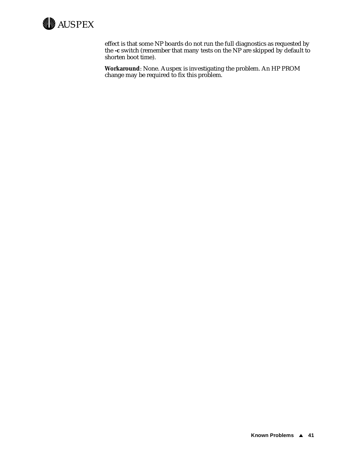

effect is that some NP boards do not run the full diagnostics as requested by the **-c** switch (remember that many tests on the NP are skipped by default to shorten boot time).

**Workaround**: None. Auspex is investigating the problem. An HP PROM change may be required to fix this problem.